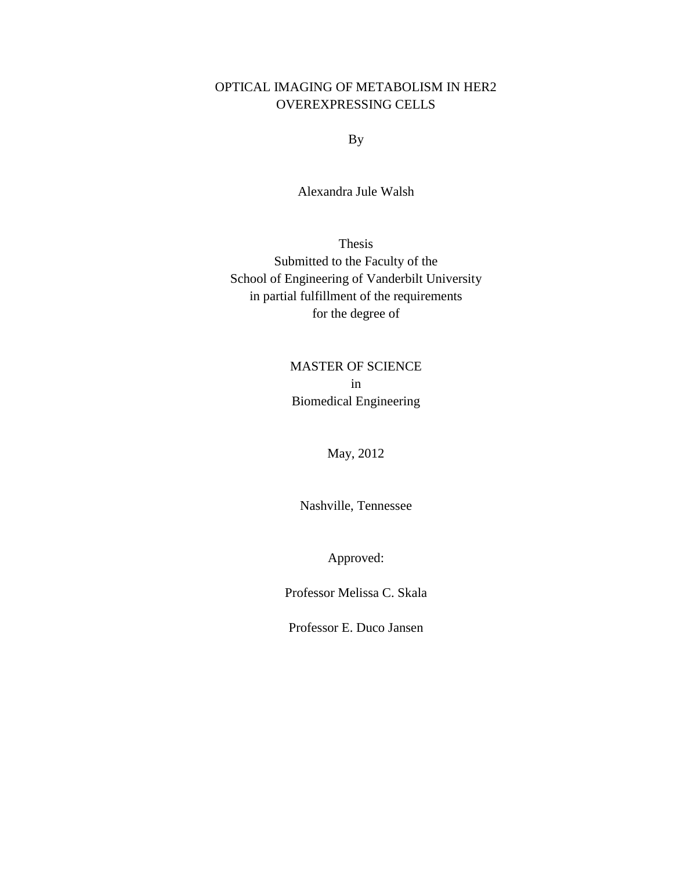# OPTICAL IMAGING OF METABOLISM IN HER2 OVEREXPRESSING CELLS

By

Alexandra Jule Walsh

Thesis Submitted to the Faculty of the School of Engineering of Vanderbilt University in partial fulfillment of the requirements for the degree of

# MASTER OF SCIENCE in Biomedical Engineering

# May, 2012

Nashville, Tennessee

Approved:

Professor Melissa C. Skala

Professor E. Duco Jansen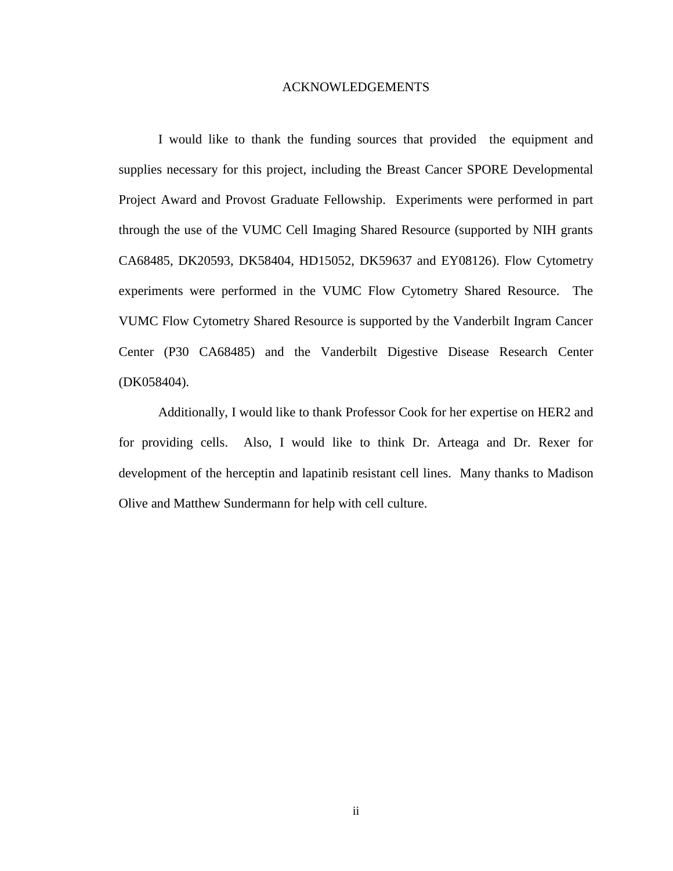#### ACKNOWLEDGEMENTS

I would like to thank the funding sources that provided the equipment and supplies necessary for this project, including the Breast Cancer SPORE Developmental Project Award and Provost Graduate Fellowship. Experiments were performed in part through the use of the VUMC Cell Imaging Shared Resource (supported by NIH grants CA68485, DK20593, DK58404, HD15052, DK59637 and EY08126). Flow Cytometry experiments were performed in the VUMC Flow Cytometry Shared Resource. The VUMC Flow Cytometry Shared Resource is supported by the Vanderbilt Ingram Cancer Center (P30 CA68485) and the Vanderbilt Digestive Disease Research Center (DK058404).

Additionally, I would like to thank Professor Cook for her expertise on HER2 and for providing cells. Also, I would like to think Dr. Arteaga and Dr. Rexer for development of the herceptin and lapatinib resistant cell lines. Many thanks to Madison Olive and Matthew Sundermann for help with cell culture.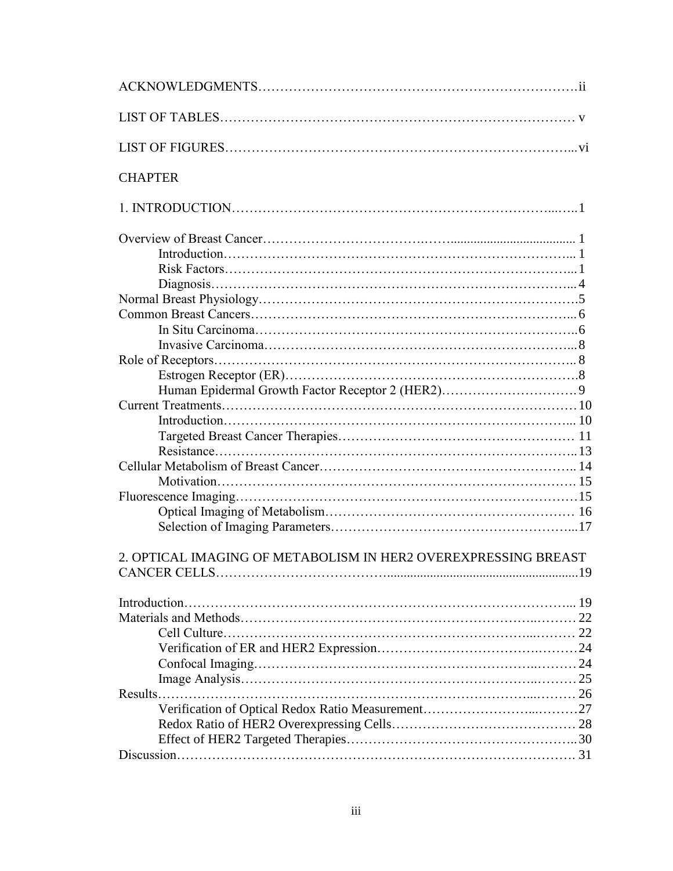| <b>CHAPTER</b>                                                 |  |
|----------------------------------------------------------------|--|
|                                                                |  |
|                                                                |  |
|                                                                |  |
|                                                                |  |
|                                                                |  |
|                                                                |  |
|                                                                |  |
|                                                                |  |
|                                                                |  |
|                                                                |  |
|                                                                |  |
|                                                                |  |
|                                                                |  |
|                                                                |  |
|                                                                |  |
|                                                                |  |
|                                                                |  |
|                                                                |  |
|                                                                |  |
|                                                                |  |
|                                                                |  |
|                                                                |  |
| 2. OPTICAL IMAGING OF METABOLISM IN HER2 OVEREXPRESSING BREAST |  |
|                                                                |  |
|                                                                |  |
|                                                                |  |
|                                                                |  |
|                                                                |  |
|                                                                |  |
|                                                                |  |
|                                                                |  |
|                                                                |  |
|                                                                |  |
|                                                                |  |
|                                                                |  |
|                                                                |  |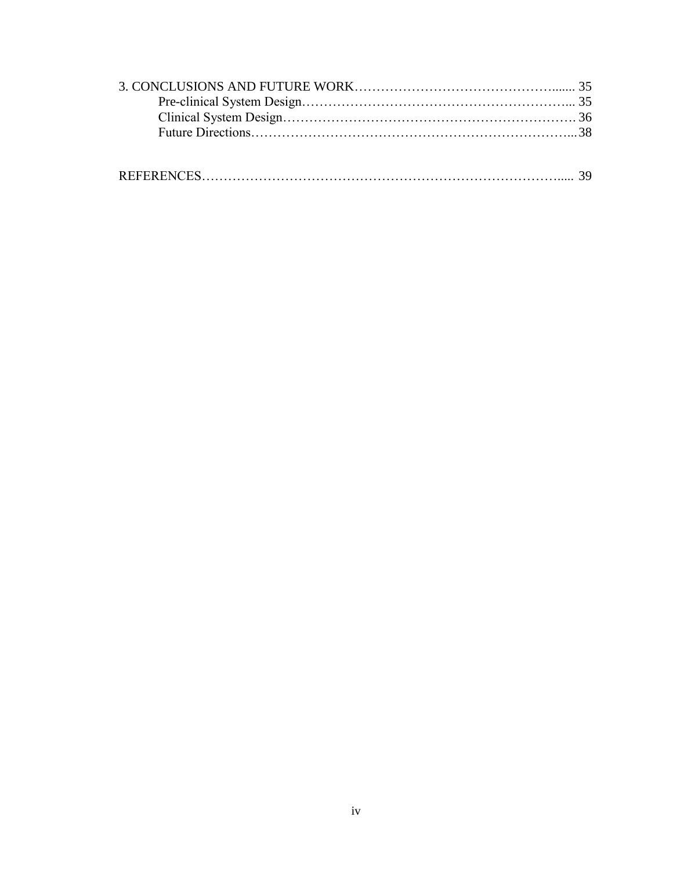|--|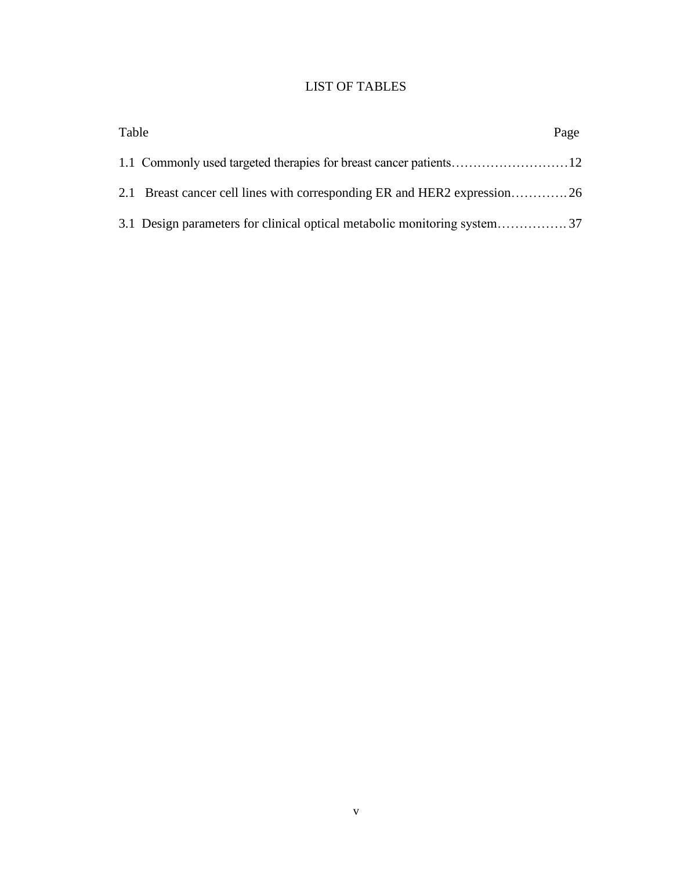# LIST OF TABLES

| Table | Page |
|-------|------|
|       |      |
|       |      |
|       |      |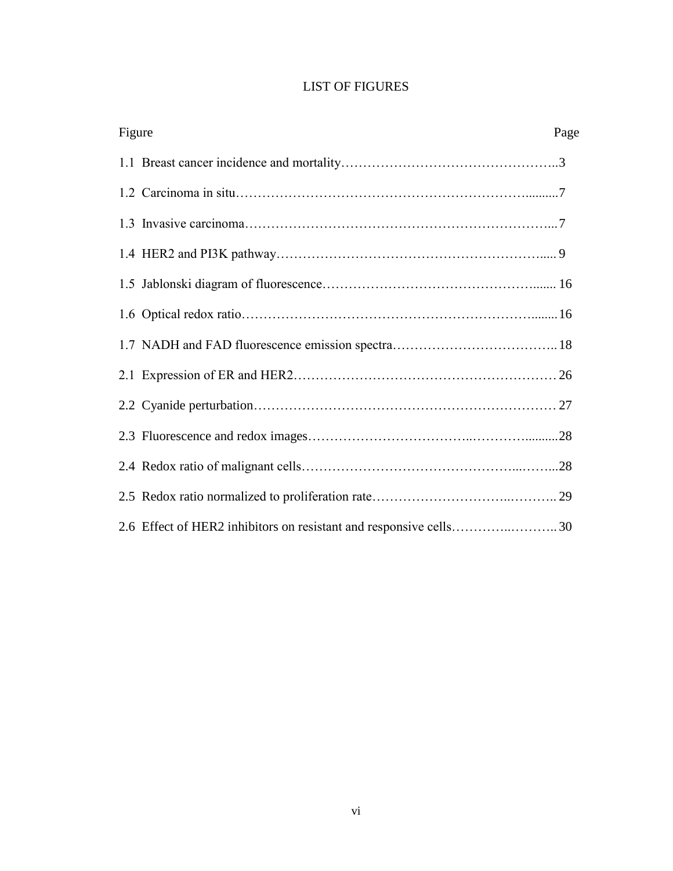|  |  |  | <b>LIST OF FIGURES</b> |
|--|--|--|------------------------|
|--|--|--|------------------------|

| Figure | Page |
|--------|------|
|        |      |
|        |      |
|        |      |
|        |      |
|        |      |
|        |      |
|        |      |
|        |      |
|        |      |
|        |      |
|        |      |
|        |      |
|        |      |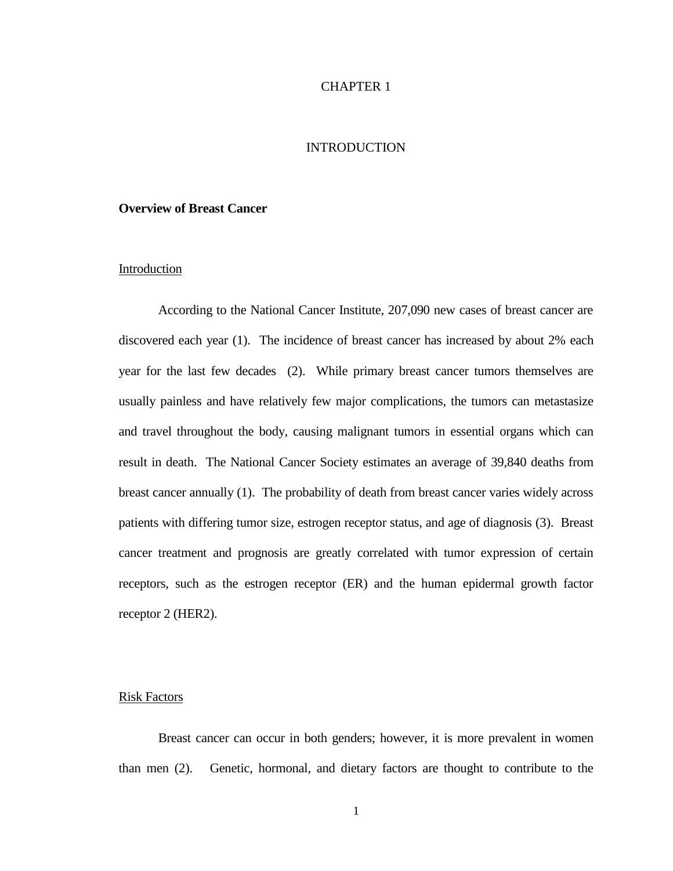## CHAPTER 1

# INTRODUCTION

## **Overview of Breast Cancer**

## Introduction

According to the National Cancer Institute, 207,090 new cases of breast cancer are discovered each year [\(1\)](#page-44-0). The incidence of breast cancer has increased by about 2% each year for the last few decades [\(2\)](#page-44-1). While primary breast cancer tumors themselves are usually painless and have relatively few major complications, the tumors can metastasize and travel throughout the body, causing malignant tumors in essential organs which can result in death. The National Cancer Society estimates an average of 39,840 deaths from breast cancer annually [\(1\)](#page-44-0). The probability of death from breast cancer varies widely across patients with differing tumor size, estrogen receptor status, and age of diagnosis [\(3\)](#page-44-2). Breast cancer treatment and prognosis are greatly correlated with tumor expression of certain receptors, such as the estrogen receptor (ER) and the human epidermal growth factor receptor 2 (HER2).

#### Risk Factors

Breast cancer can occur in both genders; however, it is more prevalent in women than men [\(2\)](#page-44-1). Genetic, hormonal, and dietary factors are thought to contribute to the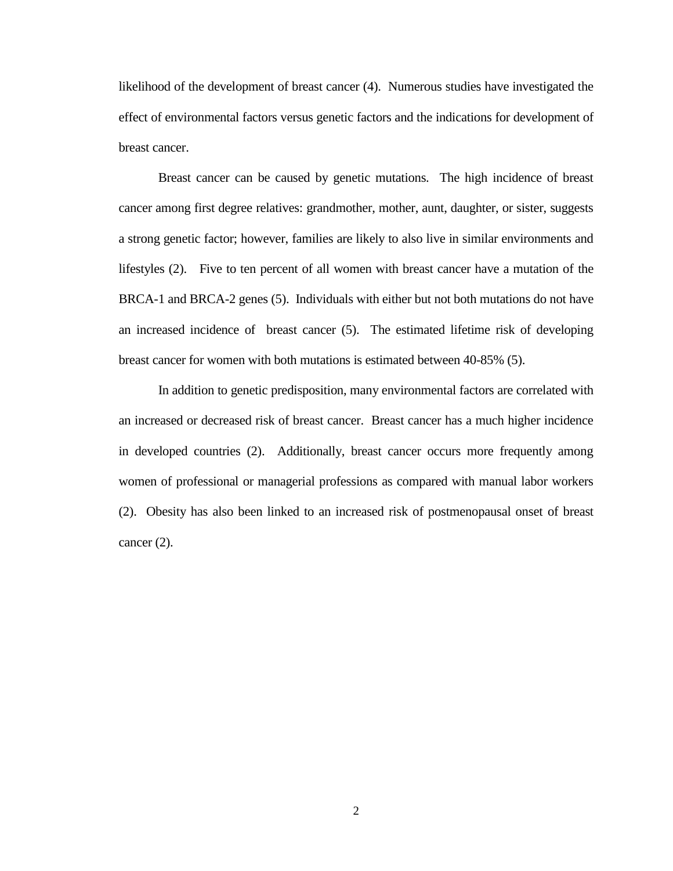likelihood of the development of breast cancer [\(4\)](#page-44-3). Numerous studies have investigated the effect of environmental factors versus genetic factors and the indications for development of breast cancer.

Breast cancer can be caused by genetic mutations. The high incidence of breast cancer among first degree relatives: grandmother, mother, aunt, daughter, or sister, suggests a strong genetic factor; however, families are likely to also live in similar environments and lifestyles [\(2\)](#page-44-1). Five to ten percent of all women with breast cancer have a mutation of the BRCA-1 and BRCA-2 genes [\(5\)](#page-44-4). Individuals with either but not both mutations do not have an increased incidence of breast cancer [\(5\)](#page-44-4). The estimated lifetime risk of developing breast cancer for women with both mutations is estimated between 40-85% [\(5\)](#page-44-4).

In addition to genetic predisposition, many environmental factors are correlated with an increased or decreased risk of breast cancer. Breast cancer has a much higher incidence in developed countries [\(2\)](#page-44-1). Additionally, breast cancer occurs more frequently among women of professional or managerial professions as compared with manual labor workers [\(2\)](#page-44-1). Obesity has also been linked to an increased risk of postmenopausal onset of breast cancer [\(2\)](#page-44-1).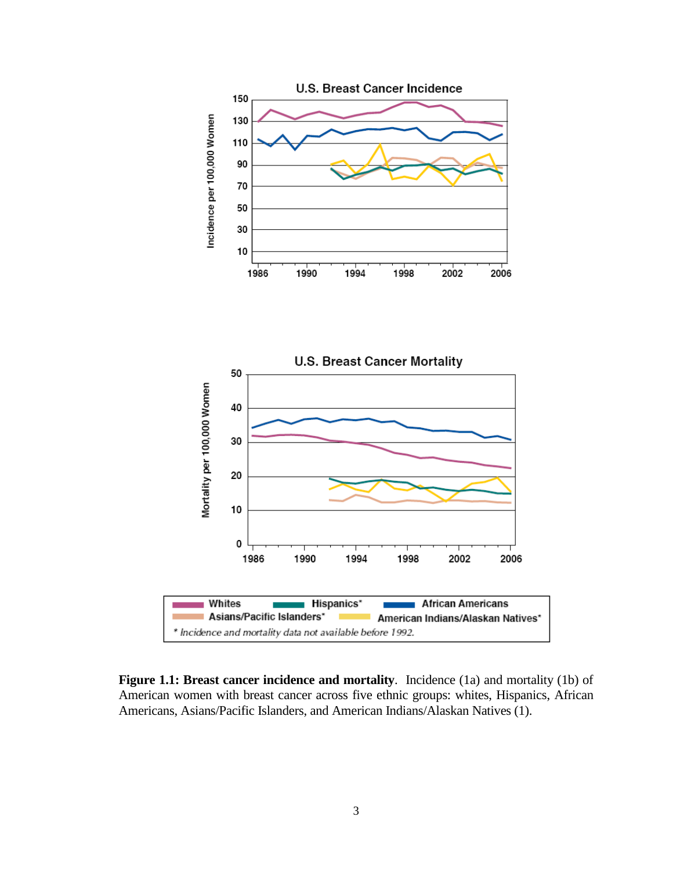



**Figure 1.1: Breast cancer incidence and mortality**. Incidence (1a) and mortality (1b) of American women with breast cancer across five ethnic groups: whites, Hispanics, African Americans, Asians/Pacific Islanders, and American Indians/Alaskan Natives [\(1\)](#page-44-0).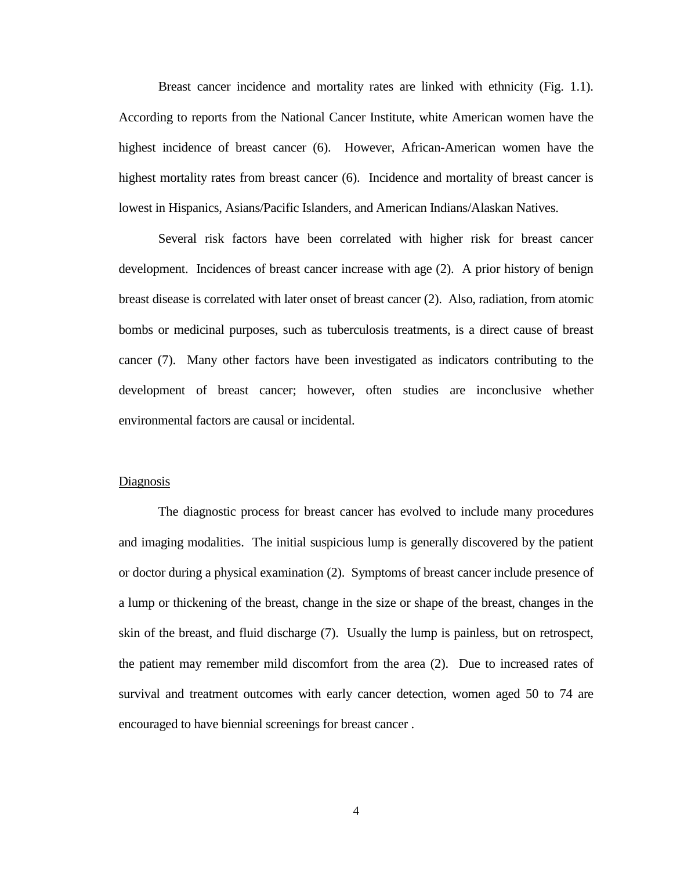Breast cancer incidence and mortality rates are linked with ethnicity (Fig. 1.1). According to reports from the National Cancer Institute, white American women have the highest incidence of breast cancer [\(6\)](#page-44-5). However, African-American women have the highest mortality rates from breast cancer [\(6\)](#page-44-5). Incidence and mortality of breast cancer is lowest in Hispanics, Asians/Pacific Islanders, and American Indians/Alaskan Natives.

Several risk factors have been correlated with higher risk for breast cancer development. Incidences of breast cancer increase with age [\(2\)](#page-44-1). A prior history of benign breast disease is correlated with later onset of breast cancer [\(2\)](#page-44-1). Also, radiation, from atomic bombs or medicinal purposes, such as tuberculosis treatments, is a direct cause of breast cancer [\(7\)](#page-44-6). Many other factors have been investigated as indicators contributing to the development of breast cancer; however, often studies are inconclusive whether environmental factors are causal or incidental.

#### **Diagnosis**

The diagnostic process for breast cancer has evolved to include many procedures and imaging modalities. The initial suspicious lump is generally discovered by the patient or doctor during a physical examination [\(2\)](#page-44-1). Symptoms of breast cancer include presence of a lump or thickening of the breast, change in the size or shape of the breast, changes in the skin of the breast, and fluid discharge [\(7\)](#page-44-6). Usually the lump is painless, but on retrospect, the patient may remember mild discomfort from the area [\(2\)](#page-44-1). Due to increased rates of survival and treatment outcomes with early cancer detection, women aged 50 to 74 are encouraged to have biennial screenings for breast cancer .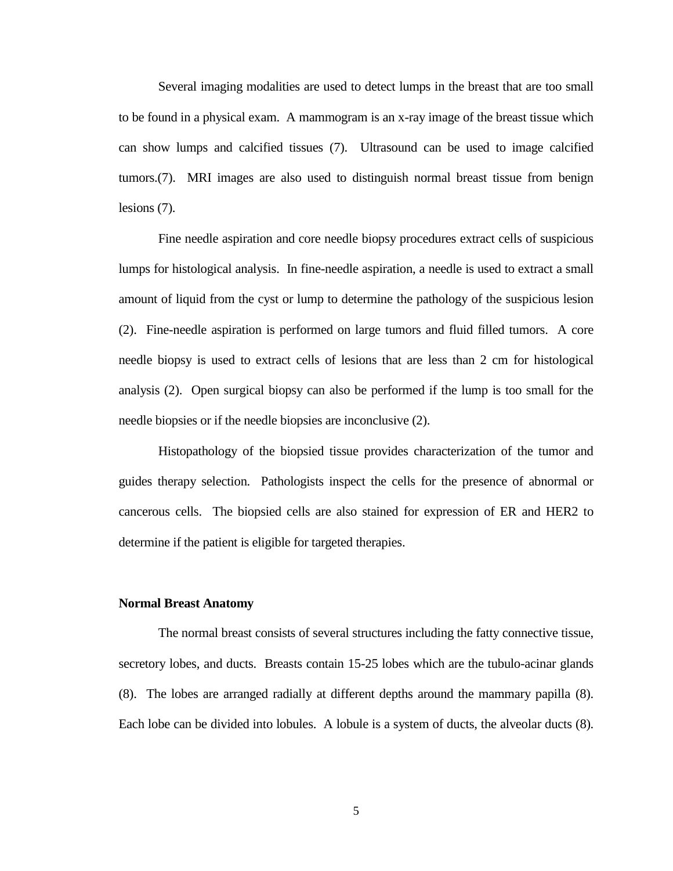Several imaging modalities are used to detect lumps in the breast that are too small to be found in a physical exam. A mammogram is an x-ray image of the breast tissue which can show lumps and calcified tissues [\(7\)](#page-44-6). Ultrasound can be used to image calcified tumors.[\(7\)](#page-44-6). MRI images are also used to distinguish normal breast tissue from benign lesions [\(7\)](#page-44-6).

Fine needle aspiration and core needle biopsy procedures extract cells of suspicious lumps for histological analysis. In fine-needle aspiration, a needle is used to extract a small amount of liquid from the cyst or lump to determine the pathology of the suspicious lesion [\(2\)](#page-44-1). Fine-needle aspiration is performed on large tumors and fluid filled tumors. A core needle biopsy is used to extract cells of lesions that are less than 2 cm for histological analysis [\(2\)](#page-44-1). Open surgical biopsy can also be performed if the lump is too small for the needle biopsies or if the needle biopsies are inconclusive [\(2\)](#page-44-1).

Histopathology of the biopsied tissue provides characterization of the tumor and guides therapy selection. Pathologists inspect the cells for the presence of abnormal or cancerous cells. The biopsied cells are also stained for expression of ER and HER2 to determine if the patient is eligible for targeted therapies.

#### **Normal Breast Anatomy**

The normal breast consists of several structures including the fatty connective tissue, secretory lobes, and ducts. Breasts contain 15-25 lobes which are the tubulo-acinar glands [\(8\)](#page-44-7). The lobes are arranged radially at different depths around the mammary papilla [\(8\)](#page-44-7). Each lobe can be divided into lobules. A lobule is a system of ducts, the alveolar ducts [\(8\)](#page-44-7).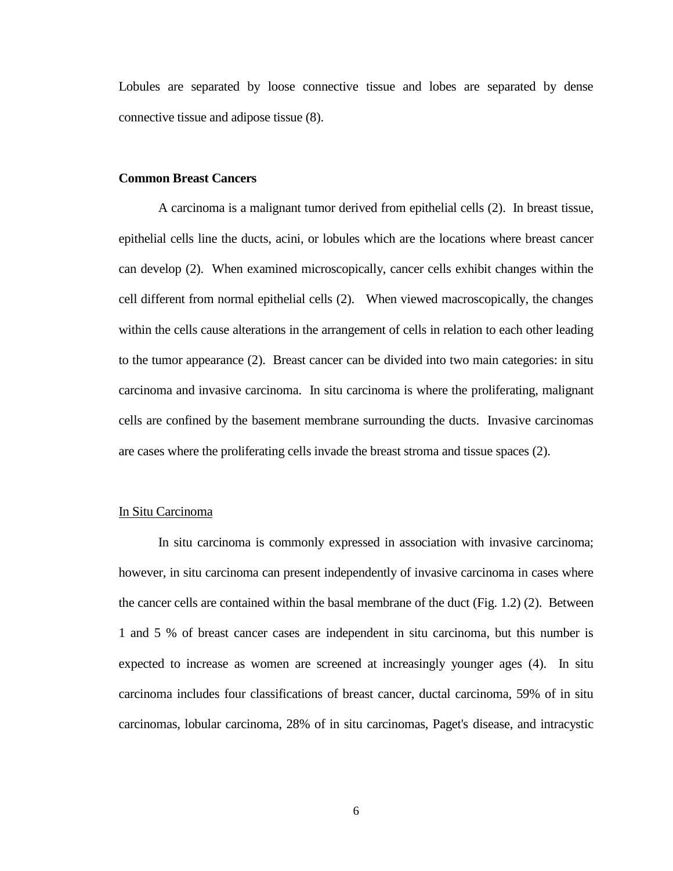Lobules are separated by loose connective tissue and lobes are separated by dense connective tissue and adipose tissue [\(8\)](#page-44-7).

## **Common Breast Cancers**

A carcinoma is a malignant tumor derived from epithelial cells [\(2\)](#page-44-1). In breast tissue, epithelial cells line the ducts, acini, or lobules which are the locations where breast cancer can develop [\(2\)](#page-44-1). When examined microscopically, cancer cells exhibit changes within the cell different from normal epithelial cells [\(2\)](#page-44-1). When viewed macroscopically, the changes within the cells cause alterations in the arrangement of cells in relation to each other leading to the tumor appearance [\(2\)](#page-44-1). Breast cancer can be divided into two main categories: in situ carcinoma and invasive carcinoma. In situ carcinoma is where the proliferating, malignant cells are confined by the basement membrane surrounding the ducts. Invasive carcinomas are cases where the proliferating cells invade the breast stroma and tissue spaces [\(2\)](#page-44-1).

## In Situ Carcinoma

In situ carcinoma is commonly expressed in association with invasive carcinoma; however, in situ carcinoma can present independently of invasive carcinoma in cases where the cancer cells are contained within the basal membrane of the duct (Fig. 1.2) [\(2\)](#page-44-1). Between 1 and 5 % of breast cancer cases are independent in situ carcinoma, but this number is expected to increase as women are screened at increasingly younger ages [\(4\)](#page-44-3). In situ carcinoma includes four classifications of breast cancer, ductal carcinoma, 59% of in situ carcinomas, lobular carcinoma, 28% of in situ carcinomas, Paget's disease, and intracystic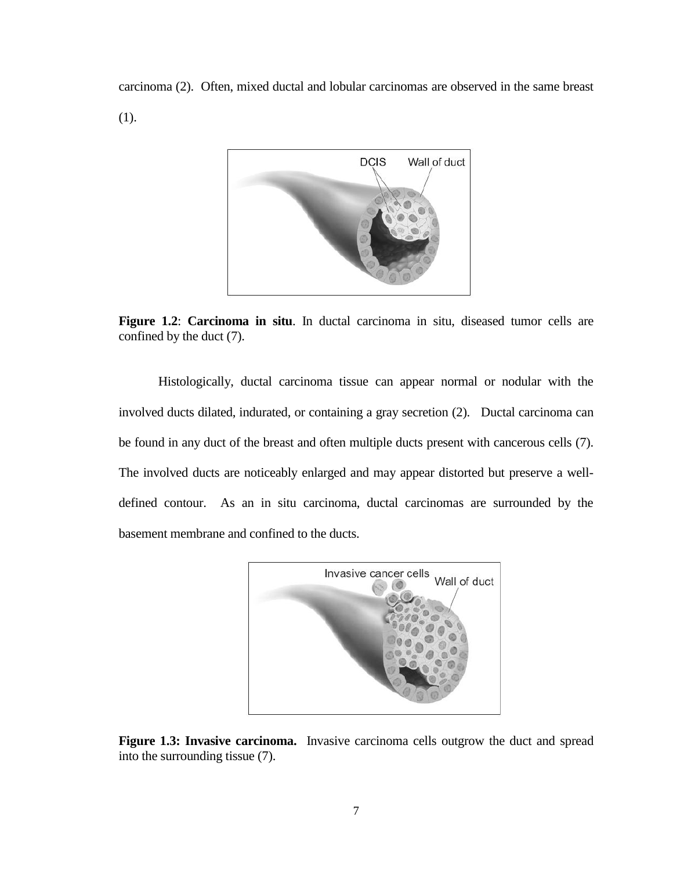carcinoma [\(2\)](#page-44-1). Often, mixed ductal and lobular carcinomas are observed in the same breast [\(1\)](#page-44-0).



**Figure 1.2**: **Carcinoma in situ**. In ductal carcinoma in situ, diseased tumor cells are confined by the duct [\(7\)](#page-44-6).

Histologically, ductal carcinoma tissue can appear normal or nodular with the involved ducts dilated, indurated, or containing a gray secretion [\(2\)](#page-44-1). Ductal carcinoma can be found in any duct of the breast and often multiple ducts present with cancerous cells [\(7\)](#page-44-6). The involved ducts are noticeably enlarged and may appear distorted but preserve a welldefined contour. As an in situ carcinoma, ductal carcinomas are surrounded by the basement membrane and confined to the ducts.



**Figure 1.3: Invasive carcinoma.** Invasive carcinoma cells outgrow the duct and spread into the surrounding tissue [\(7\)](#page-44-6).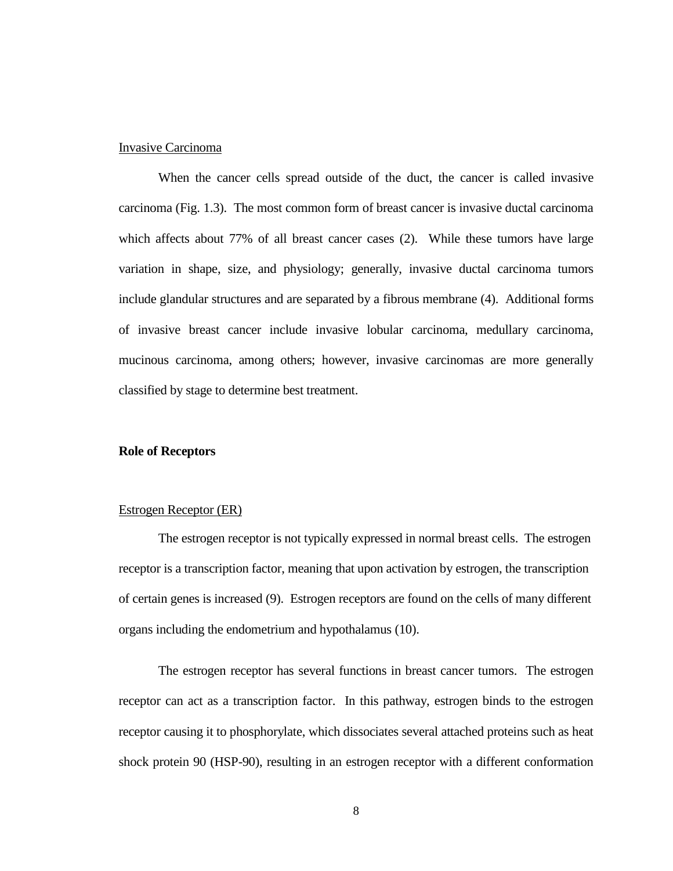### Invasive Carcinoma

When the cancer cells spread outside of the duct, the cancer is called invasive carcinoma (Fig. 1.3). The most common form of breast cancer is invasive ductal carcinoma which affects about 77% of all breast cancer cases [\(2\)](#page-44-1). While these tumors have large variation in shape, size, and physiology; generally, invasive ductal carcinoma tumors include glandular structures and are separated by a fibrous membrane [\(4\)](#page-44-3). Additional forms of invasive breast cancer include invasive lobular carcinoma, medullary carcinoma, mucinous carcinoma, among others; however, invasive carcinomas are more generally classified by stage to determine best treatment.

### **Role of Receptors**

## Estrogen Receptor (ER)

The estrogen receptor is not typically expressed in normal breast cells. The estrogen receptor is a transcription factor, meaning that upon activation by estrogen, the transcription of certain genes is increased [\(9\)](#page-44-8). Estrogen receptors are found on the cells of many different organs including the endometrium and hypothalamus [\(10\)](#page-44-9).

The estrogen receptor has several functions in breast cancer tumors. The estrogen receptor can act as a transcription factor. In this pathway, estrogen binds to the estrogen receptor causing it to phosphorylate, which dissociates several attached proteins such as heat shock protein 90 (HSP-90), resulting in an estrogen receptor with a different conformation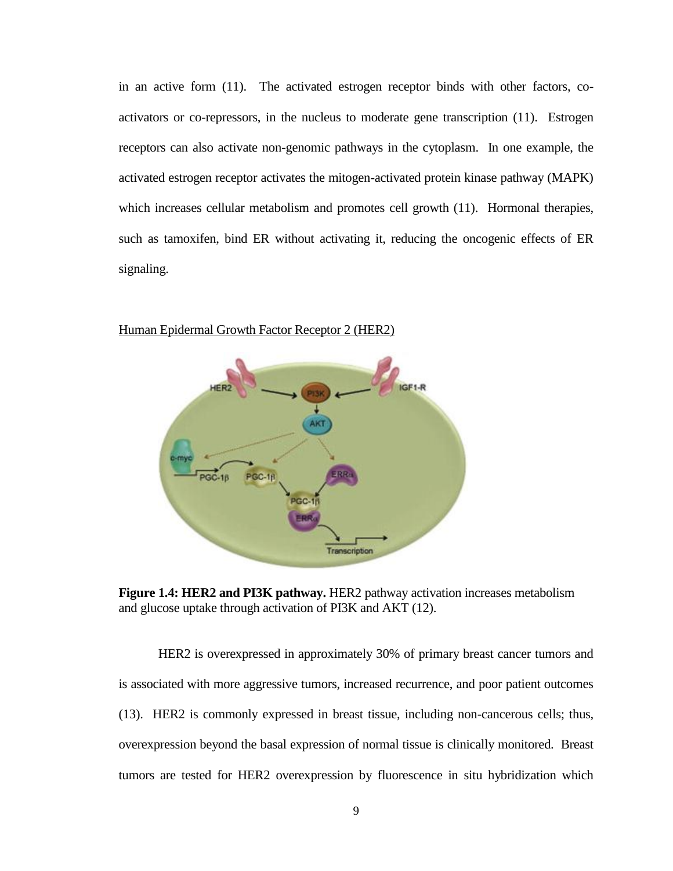in an active form [\(11\)](#page-44-10). The activated estrogen receptor binds with other factors, coactivators or co-repressors, in the nucleus to moderate gene transcription [\(11\)](#page-44-10). Estrogen receptors can also activate non-genomic pathways in the cytoplasm. In one example, the activated estrogen receptor activates the mitogen-activated protein kinase pathway (MAPK) which increases cellular metabolism and promotes cell growth  $(11)$ . Hormonal therapies, such as tamoxifen, bind ER without activating it, reducing the oncogenic effects of ER signaling.



## Human Epidermal Growth Factor Receptor 2 (HER2)

**Figure 1.4: HER2 and PI3K pathway.** HER2 pathway activation increases metabolism and glucose uptake through activation of PI3K and AKT [\(12\)](#page-44-11).

HER2 is overexpressed in approximately 30% of primary breast cancer tumors and is associated with more aggressive tumors, increased recurrence, and poor patient outcomes [\(13\)](#page-44-12). HER2 is commonly expressed in breast tissue, including non-cancerous cells; thus, overexpression beyond the basal expression of normal tissue is clinically monitored. Breast tumors are tested for HER2 overexpression by fluorescence in situ hybridization which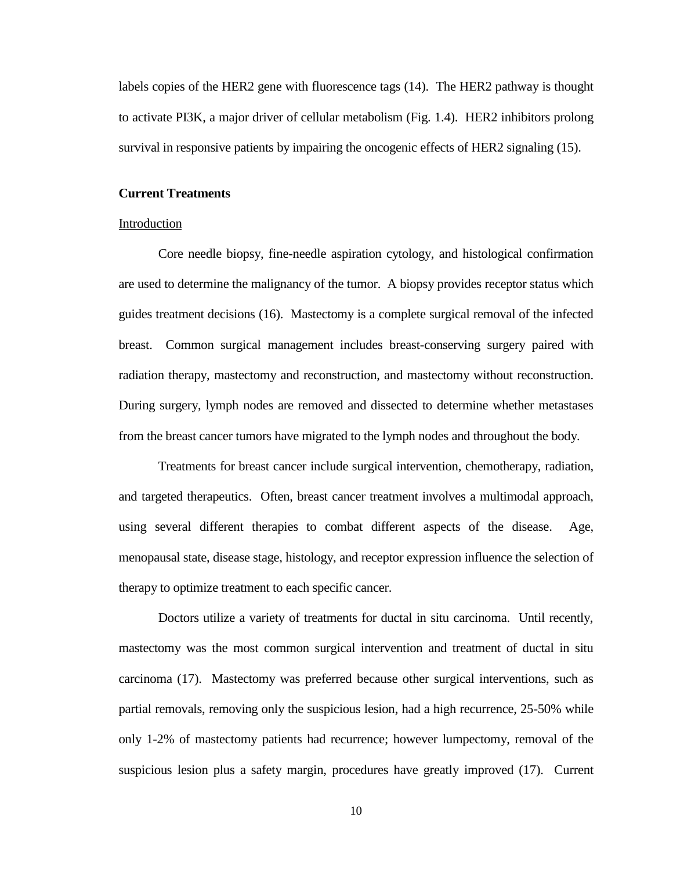labels copies of the HER2 gene with fluorescence tags [\(14\)](#page-44-13). The HER2 pathway is thought to activate PI3K, a major driver of cellular metabolism (Fig. 1.4). HER2 inhibitors prolong survival in responsive patients by impairing the oncogenic effects of HER2 signaling [\(15\)](#page-45-0).

## **Current Treatments**

#### Introduction

Core needle biopsy, fine-needle aspiration cytology, and histological confirmation are used to determine the malignancy of the tumor. A biopsy provides receptor status which guides treatment decisions [\(16\)](#page-45-1). Mastectomy is a complete surgical removal of the infected breast. Common surgical management includes breast-conserving surgery paired with radiation therapy, mastectomy and reconstruction, and mastectomy without reconstruction. During surgery, lymph nodes are removed and dissected to determine whether metastases from the breast cancer tumors have migrated to the lymph nodes and throughout the body.

Treatments for breast cancer include surgical intervention, chemotherapy, radiation, and targeted therapeutics. Often, breast cancer treatment involves a multimodal approach, using several different therapies to combat different aspects of the disease. Age, menopausal state, disease stage, histology, and receptor expression influence the selection of therapy to optimize treatment to each specific cancer.

Doctors utilize a variety of treatments for ductal in situ carcinoma. Until recently, mastectomy was the most common surgical intervention and treatment of ductal in situ carcinoma [\(17\)](#page-45-2). Mastectomy was preferred because other surgical interventions, such as partial removals, removing only the suspicious lesion, had a high recurrence, 25-50% while only 1-2% of mastectomy patients had recurrence; however lumpectomy, removal of the suspicious lesion plus a safety margin, procedures have greatly improved [\(17\)](#page-45-2). Current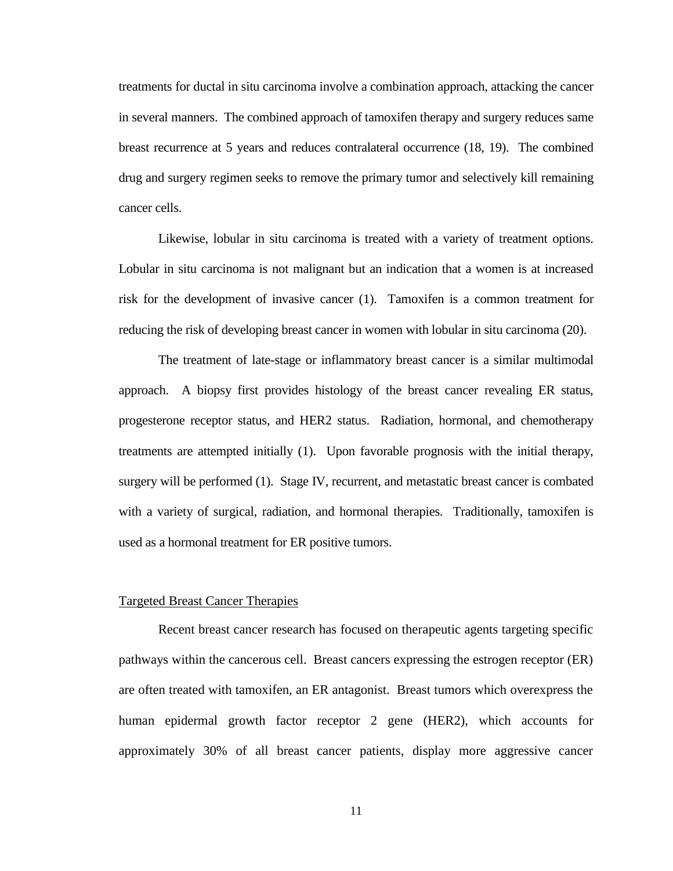treatments for ductal in situ carcinoma involve a combination approach, attacking the cancer in several manners. The combined approach of tamoxifen therapy and surgery reduces same breast recurrence at 5 years and reduces contralateral occurrence [\(18,](#page-45-3) [19\)](#page-45-4). The combined drug and surgery regimen seeks to remove the primary tumor and selectively kill remaining cancer cells.

Likewise, lobular in situ carcinoma is treated with a variety of treatment options. Lobular in situ carcinoma is not malignant but an indication that a women is at increased risk for the development of invasive cancer [\(1\)](#page-44-0). Tamoxifen is a common treatment for reducing the risk of developing breast cancer in women with lobular in situ carcinoma [\(20\)](#page-45-5).

The treatment of late-stage or inflammatory breast cancer is a similar multimodal approach. A biopsy first provides histology of the breast cancer revealing ER status, progesterone receptor status, and HER2 status. Radiation, hormonal, and chemotherapy treatments are attempted initially [\(1\)](#page-44-0). Upon favorable prognosis with the initial therapy, surgery will be performed [\(1\)](#page-44-0). Stage IV, recurrent, and metastatic breast cancer is combated with a variety of surgical, radiation, and hormonal therapies. Traditionally, tamoxifen is used as a hormonal treatment for ER positive tumors.

## Targeted Breast Cancer Therapies

Recent breast cancer research has focused on therapeutic agents targeting specific pathways within the cancerous cell. Breast cancers expressing the estrogen receptor (ER) are often treated with tamoxifen, an ER antagonist. Breast tumors which overexpress the human epidermal growth factor receptor 2 gene (HER2), which accounts for approximately 30% of all breast cancer patients, display more aggressive cancer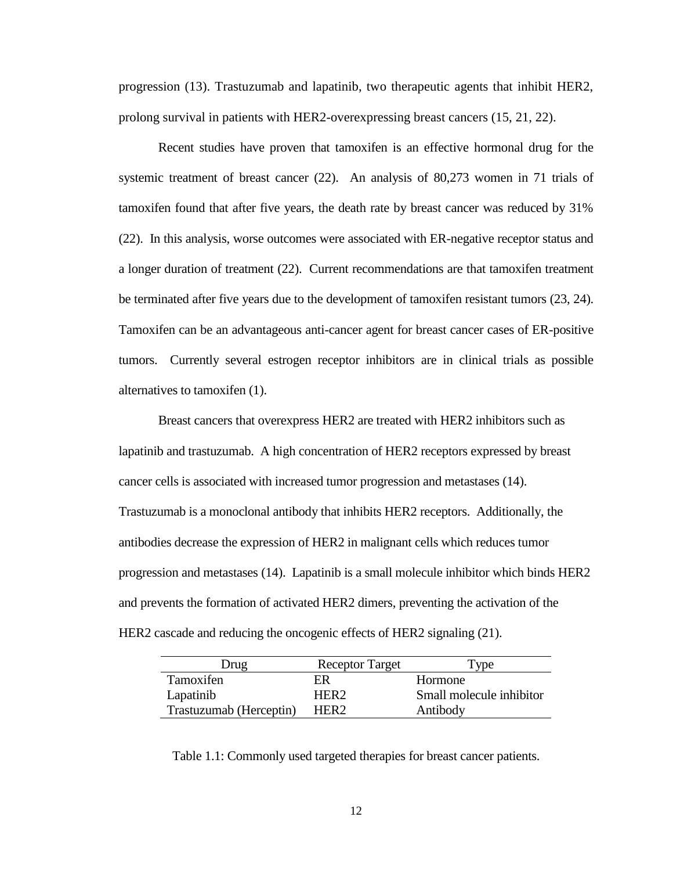progression [\(13\)](#page-44-12). Trastuzumab and lapatinib, two therapeutic agents that inhibit HER2, prolong survival in patients with HER2-overexpressing breast cancers [\(15,](#page-45-0) [21,](#page-45-6) [22\)](#page-45-7).

Recent studies have proven that tamoxifen is an effective hormonal drug for the systemic treatment of breast cancer [\(22\)](#page-45-7). An analysis of 80,273 women in 71 trials of tamoxifen found that after five years, the death rate by breast cancer was reduced by 31% [\(22\)](#page-45-7). In this analysis, worse outcomes were associated with ER-negative receptor status and a longer duration of treatment [\(22\)](#page-45-7). Current recommendations are that tamoxifen treatment be terminated after five years due to the development of tamoxifen resistant tumors [\(23,](#page-45-8) [24\)](#page-45-9). Tamoxifen can be an advantageous anti-cancer agent for breast cancer cases of ER-positive tumors. Currently several estrogen receptor inhibitors are in clinical trials as possible alternatives to tamoxifen [\(1\)](#page-44-0).

Breast cancers that overexpress HER2 are treated with HER2 inhibitors such as lapatinib and trastuzumab. A high concentration of HER2 receptors expressed by breast cancer cells is associated with increased tumor progression and metastases [\(14\)](#page-44-13). Trastuzumab is a monoclonal antibody that inhibits HER2 receptors. Additionally, the antibodies decrease the expression of HER2 in malignant cells which reduces tumor progression and metastases [\(14\)](#page-44-13). Lapatinib is a small molecule inhibitor which binds HER2 and prevents the formation of activated HER2 dimers, preventing the activation of the HER2 cascade and reducing the oncogenic effects of HER2 signaling [\(21\)](#page-45-6).

| Jrug                    | <b>Receptor Target</b> | <b>vpe</b>               |
|-------------------------|------------------------|--------------------------|
| Tamoxifen               | ER                     | Hormone                  |
| Lapatinib               | HFR2                   | Small molecule inhibitor |
| Trastuzumab (Herceptin) | HER <sub>2</sub>       | Antibody                 |

Table 1.1: Commonly used targeted therapies for breast cancer patients.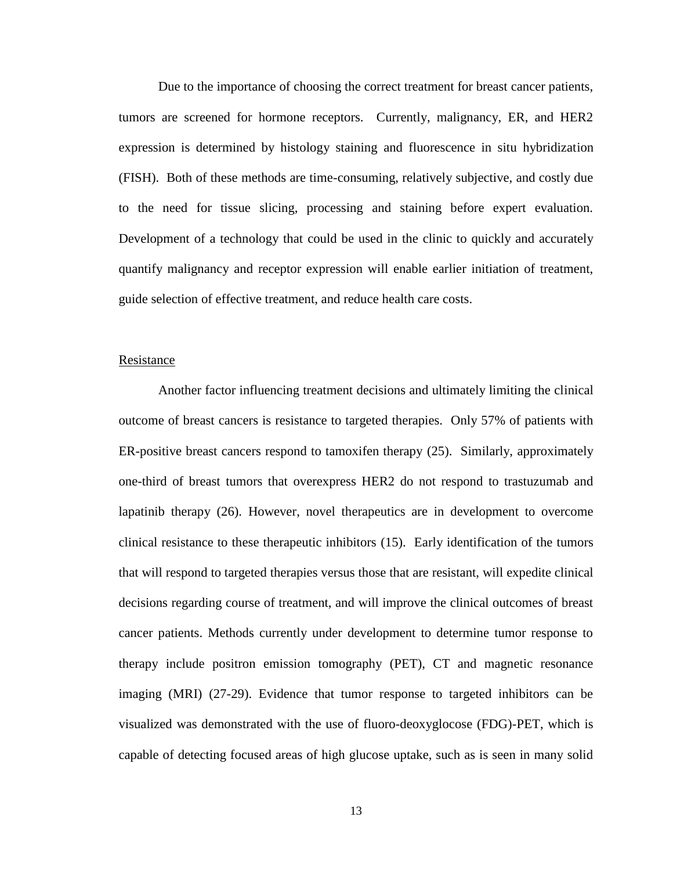Due to the importance of choosing the correct treatment for breast cancer patients, tumors are screened for hormone receptors. Currently, malignancy, ER, and HER2 expression is determined by histology staining and fluorescence in situ hybridization (FISH). Both of these methods are time-consuming, relatively subjective, and costly due to the need for tissue slicing, processing and staining before expert evaluation. Development of a technology that could be used in the clinic to quickly and accurately quantify malignancy and receptor expression will enable earlier initiation of treatment, guide selection of effective treatment, and reduce health care costs.

#### Resistance

Another factor influencing treatment decisions and ultimately limiting the clinical outcome of breast cancers is resistance to targeted therapies. Only 57% of patients with ER-positive breast cancers respond to tamoxifen therapy [\(25\)](#page-45-10). Similarly, approximately one-third of breast tumors that overexpress HER2 do not respond to trastuzumab and lapatinib therapy [\(26\)](#page-46-0). However, novel therapeutics are in development to overcome clinical resistance to these therapeutic inhibitors [\(15\)](#page-45-0). Early identification of the tumors that will respond to targeted therapies versus those that are resistant, will expedite clinical decisions regarding course of treatment, and will improve the clinical outcomes of breast cancer patients. Methods currently under development to determine tumor response to therapy include positron emission tomography (PET), CT and magnetic resonance imaging (MRI) [\(27-29\)](#page-46-1). Evidence that tumor response to targeted inhibitors can be visualized was demonstrated with the use of fluoro-deoxyglocose (FDG)-PET, which is capable of detecting focused areas of high glucose uptake, such as is seen in many solid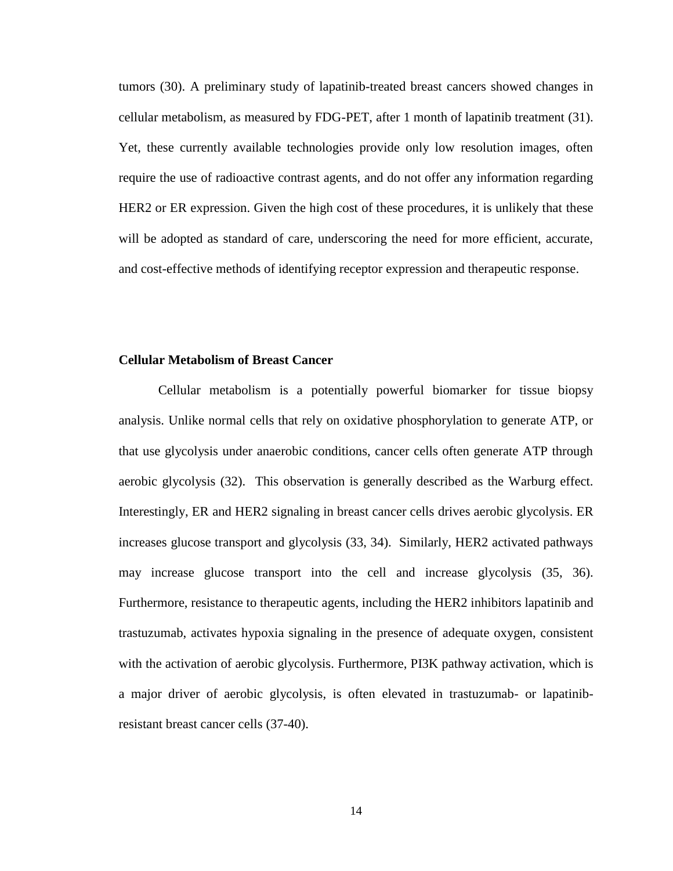tumors [\(30\)](#page-46-2). A preliminary study of lapatinib-treated breast cancers showed changes in cellular metabolism, as measured by FDG-PET, after 1 month of lapatinib treatment [\(31\)](#page-46-3). Yet, these currently available technologies provide only low resolution images, often require the use of radioactive contrast agents, and do not offer any information regarding HER2 or ER expression. Given the high cost of these procedures, it is unlikely that these will be adopted as standard of care, underscoring the need for more efficient, accurate, and cost-effective methods of identifying receptor expression and therapeutic response.

## **Cellular Metabolism of Breast Cancer**

Cellular metabolism is a potentially powerful biomarker for tissue biopsy analysis. Unlike normal cells that rely on oxidative phosphorylation to generate ATP, or that use glycolysis under anaerobic conditions, cancer cells often generate ATP through aerobic glycolysis [\(32\)](#page-46-4). This observation is generally described as the Warburg effect. Interestingly, ER and HER2 signaling in breast cancer cells drives aerobic glycolysis. ER increases glucose transport and glycolysis [\(33,](#page-46-5) [34\)](#page-46-6). Similarly, HER2 activated pathways may increase glucose transport into the cell and increase glycolysis [\(35,](#page-46-7) [36\)](#page-46-8). Furthermore, resistance to therapeutic agents, including the HER2 inhibitors lapatinib and trastuzumab, activates hypoxia signaling in the presence of adequate oxygen, consistent with the activation of aerobic glycolysis. Furthermore, PI3K pathway activation, which is a major driver of aerobic glycolysis, is often elevated in trastuzumab- or lapatinibresistant breast cancer cells [\(37-40\)](#page-47-0).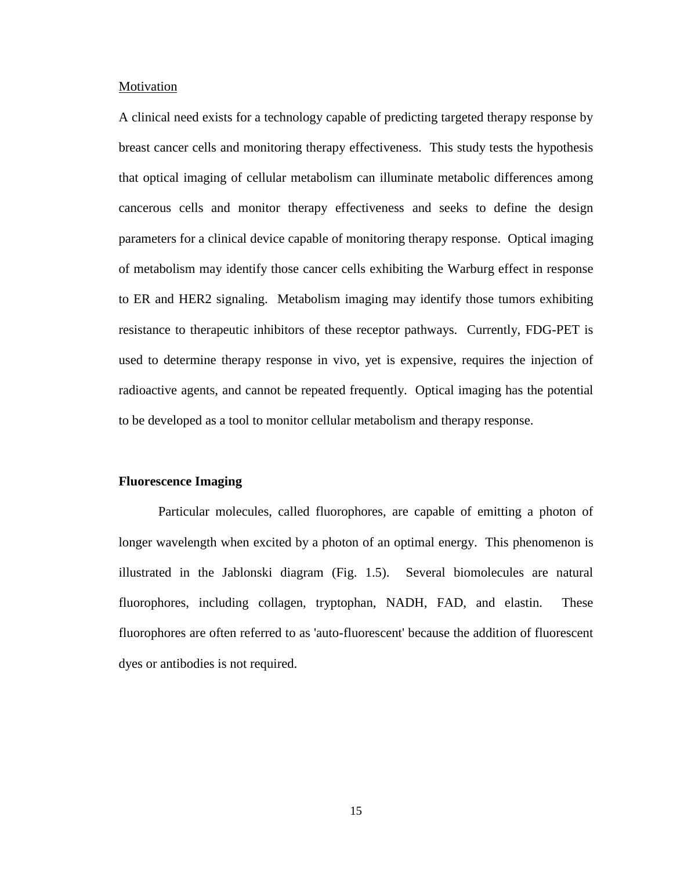#### Motivation

A clinical need exists for a technology capable of predicting targeted therapy response by breast cancer cells and monitoring therapy effectiveness. This study tests the hypothesis that optical imaging of cellular metabolism can illuminate metabolic differences among cancerous cells and monitor therapy effectiveness and seeks to define the design parameters for a clinical device capable of monitoring therapy response. Optical imaging of metabolism may identify those cancer cells exhibiting the Warburg effect in response to ER and HER2 signaling. Metabolism imaging may identify those tumors exhibiting resistance to therapeutic inhibitors of these receptor pathways. Currently, FDG-PET is used to determine therapy response in vivo, yet is expensive, requires the injection of radioactive agents, and cannot be repeated frequently. Optical imaging has the potential to be developed as a tool to monitor cellular metabolism and therapy response.

## **Fluorescence Imaging**

Particular molecules, called fluorophores, are capable of emitting a photon of longer wavelength when excited by a photon of an optimal energy. This phenomenon is illustrated in the Jablonski diagram (Fig. 1.5). Several biomolecules are natural fluorophores, including collagen, tryptophan, NADH, FAD, and elastin. These fluorophores are often referred to as 'auto-fluorescent' because the addition of fluorescent dyes or antibodies is not required.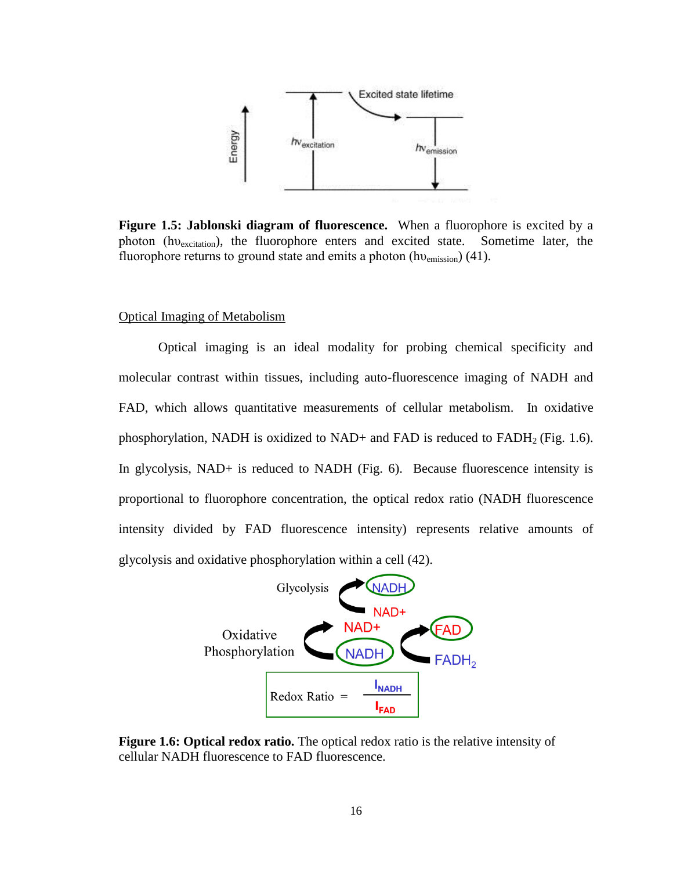

**Figure 1.5: Jablonski diagram of fluorescence.** When a fluorophore is excited by a photon (hv<sub>excitation</sub>), the fluorophore enters and excited state. Sometime later, the fluorophore returns to ground state and emits a photon (hv<sub>emission</sub>) [\(41\)](#page-47-1).

## Optical Imaging of Metabolism

Optical imaging is an ideal modality for probing chemical specificity and molecular contrast within tissues, including auto-fluorescence imaging of NADH and FAD, which allows quantitative measurements of cellular metabolism. In oxidative phosphorylation, NADH is oxidized to NAD+ and FAD is reduced to  $FADH<sub>2</sub>$  (Fig. 1.6). In glycolysis, NAD+ is reduced to NADH (Fig. 6). Because fluorescence intensity is proportional to fluorophore concentration, the optical redox ratio (NADH fluorescence intensity divided by FAD fluorescence intensity) represents relative amounts of glycolysis and oxidative phosphorylation within a cell [\(42\)](#page-47-2).



**Figure 1.6: Optical redox ratio.** The optical redox ratio is the relative intensity of cellular NADH fluorescence to FAD fluorescence.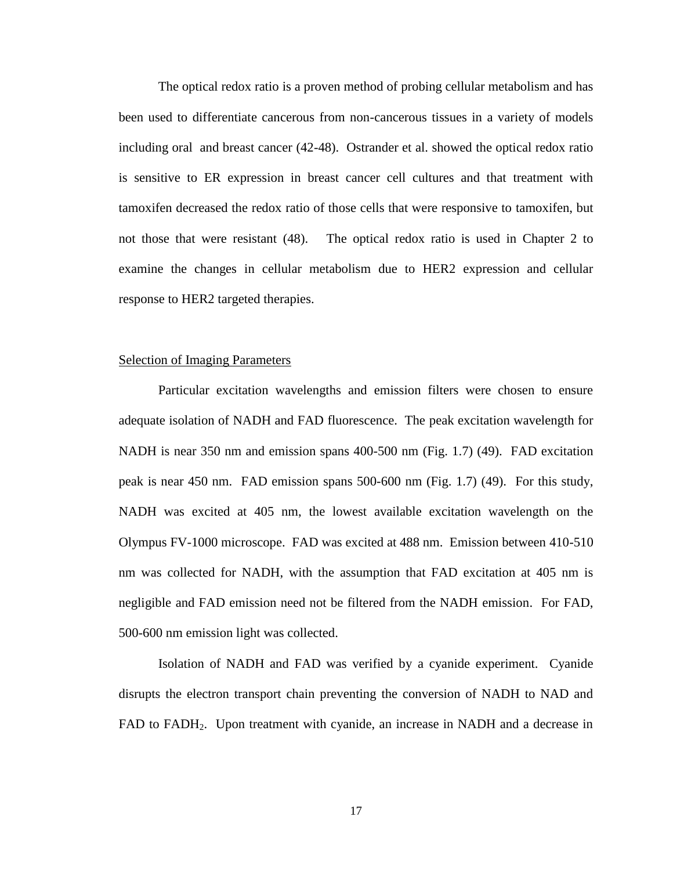The optical redox ratio is a proven method of probing cellular metabolism and has been used to differentiate cancerous from non-cancerous tissues in a variety of models including oral and breast cancer [\(42-48\)](#page-47-2). Ostrander et al. showed the optical redox ratio is sensitive to ER expression in breast cancer cell cultures and that treatment with tamoxifen decreased the redox ratio of those cells that were responsive to tamoxifen, but not those that were resistant [\(48\)](#page-47-3). The optical redox ratio is used in Chapter 2 to examine the changes in cellular metabolism due to HER2 expression and cellular response to HER2 targeted therapies.

#### Selection of Imaging Parameters

Particular excitation wavelengths and emission filters were chosen to ensure adequate isolation of NADH and FAD fluorescence. The peak excitation wavelength for NADH is near 350 nm and emission spans 400-500 nm (Fig. 1.7) [\(49\)](#page-48-0). FAD excitation peak is near 450 nm. FAD emission spans 500-600 nm (Fig. 1.7) [\(49\)](#page-48-0). For this study, NADH was excited at 405 nm, the lowest available excitation wavelength on the Olympus FV-1000 microscope. FAD was excited at 488 nm. Emission between 410-510 nm was collected for NADH, with the assumption that FAD excitation at 405 nm is negligible and FAD emission need not be filtered from the NADH emission. For FAD, 500-600 nm emission light was collected.

Isolation of NADH and FAD was verified by a cyanide experiment. Cyanide disrupts the electron transport chain preventing the conversion of NADH to NAD and FAD to FADH2. Upon treatment with cyanide, an increase in NADH and a decrease in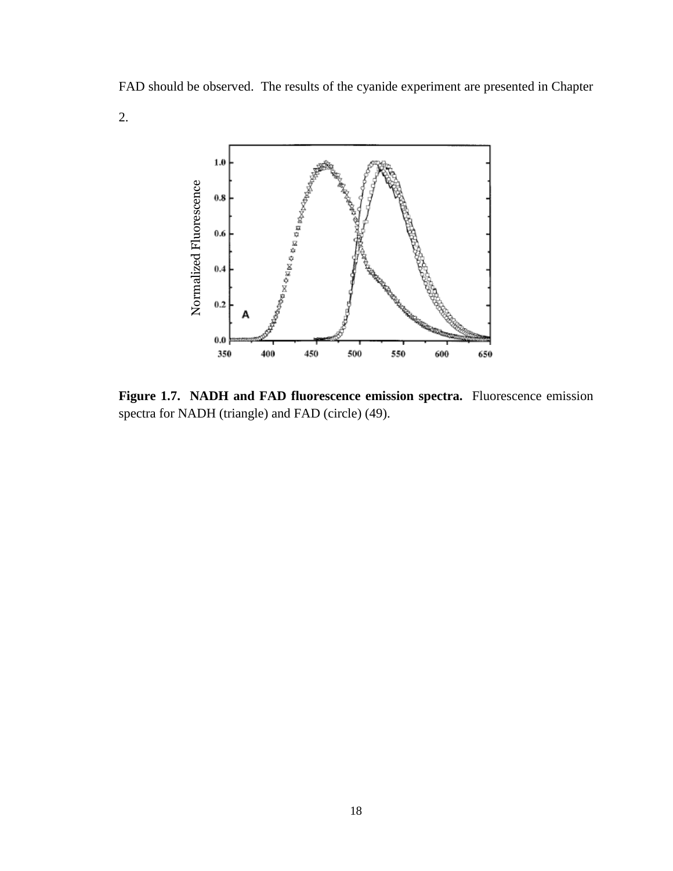FAD should be observed. The results of the cyanide experiment are presented in Chapter

2.



**Figure 1.7. NADH and FAD fluorescence emission spectra.** Fluorescence emission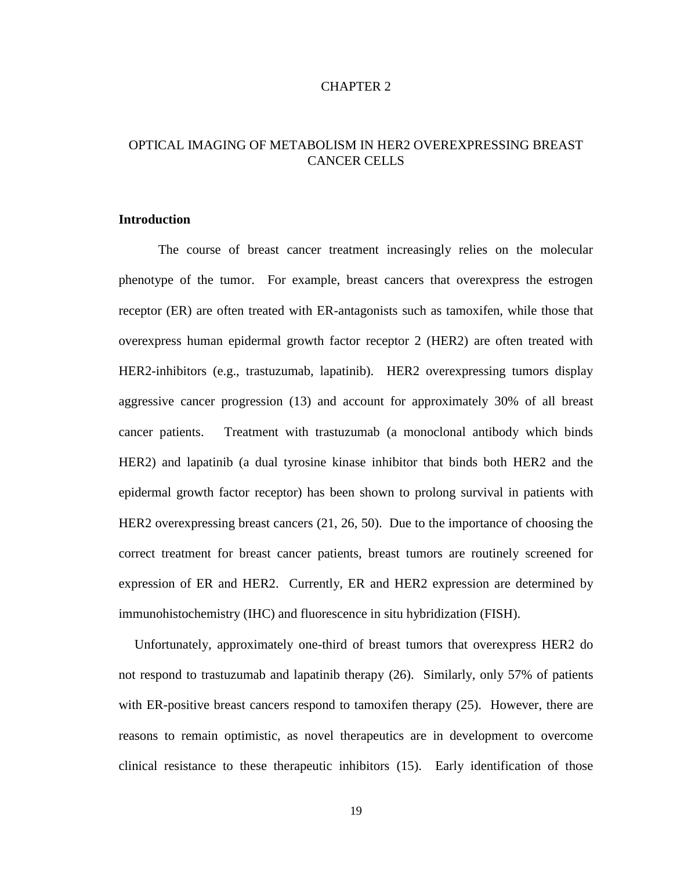## CHAPTER 2

# OPTICAL IMAGING OF METABOLISM IN HER2 OVEREXPRESSING BREAST CANCER CELLS

# **Introduction**

The course of breast cancer treatment increasingly relies on the molecular phenotype of the tumor. For example, breast cancers that overexpress the estrogen receptor (ER) are often treated with ER-antagonists such as tamoxifen, while those that overexpress human epidermal growth factor receptor 2 (HER2) are often treated with HER2-inhibitors (e.g., trastuzumab, lapatinib). HER2 overexpressing tumors display aggressive cancer progression [\(13\)](#page-44-12) and account for approximately 30% of all breast cancer patients. Treatment with trastuzumab (a monoclonal antibody which binds HER2) and lapatinib (a dual tyrosine kinase inhibitor that binds both HER2 and the epidermal growth factor receptor) has been shown to prolong survival in patients with HER2 overexpressing breast cancers [\(21,](#page-45-6) [26,](#page-46-0) [50\)](#page-48-1). Due to the importance of choosing the correct treatment for breast cancer patients, breast tumors are routinely screened for expression of ER and HER2. Currently, ER and HER2 expression are determined by immunohistochemistry (IHC) and fluorescence in situ hybridization (FISH).

Unfortunately, approximately one-third of breast tumors that overexpress HER2 do not respond to trastuzumab and lapatinib therapy [\(26\)](#page-46-0). Similarly, only 57% of patients with ER-positive breast cancers respond to tamoxifen therapy [\(25\)](#page-45-10). However, there are reasons to remain optimistic, as novel therapeutics are in development to overcome clinical resistance to these therapeutic inhibitors [\(15\)](#page-45-0). Early identification of those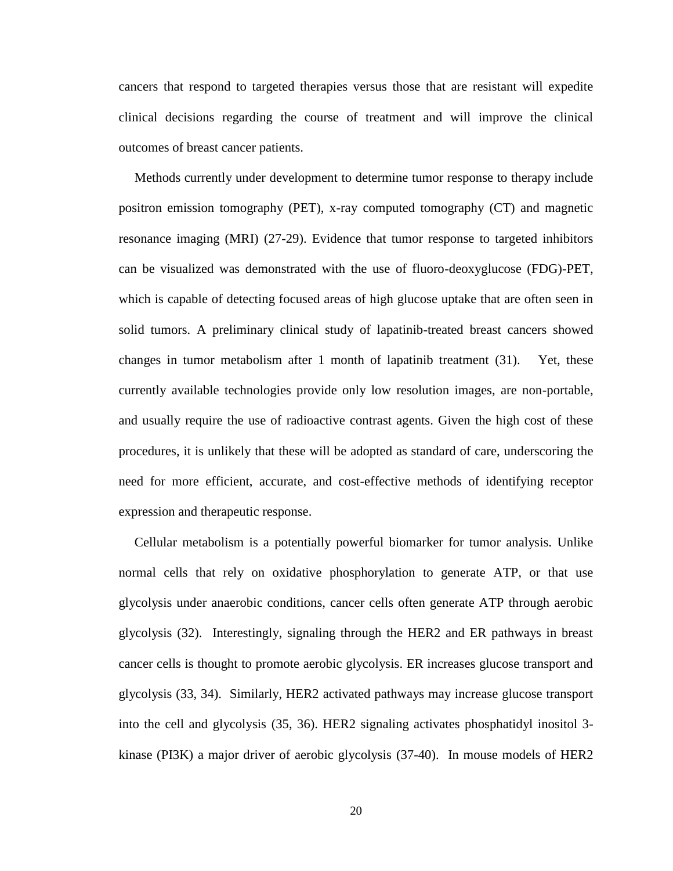cancers that respond to targeted therapies versus those that are resistant will expedite clinical decisions regarding the course of treatment and will improve the clinical outcomes of breast cancer patients.

Methods currently under development to determine tumor response to therapy include positron emission tomography (PET), x-ray computed tomography (CT) and magnetic resonance imaging (MRI) [\(27-29\)](#page-46-1). Evidence that tumor response to targeted inhibitors can be visualized was demonstrated with the use of fluoro-deoxyglucose (FDG)-PET, which is capable of detecting focused areas of high glucose uptake that are often seen in solid tumors. A preliminary clinical study of lapatinib-treated breast cancers showed changes in tumor metabolism after 1 month of lapatinib treatment [\(31\)](#page-46-3). Yet, these currently available technologies provide only low resolution images, are non-portable, and usually require the use of radioactive contrast agents. Given the high cost of these procedures, it is unlikely that these will be adopted as standard of care, underscoring the need for more efficient, accurate, and cost-effective methods of identifying receptor expression and therapeutic response.

Cellular metabolism is a potentially powerful biomarker for tumor analysis. Unlike normal cells that rely on oxidative phosphorylation to generate ATP, or that use glycolysis under anaerobic conditions, cancer cells often generate ATP through aerobic glycolysis [\(32\)](#page-46-4). Interestingly, signaling through the HER2 and ER pathways in breast cancer cells is thought to promote aerobic glycolysis. ER increases glucose transport and glycolysis [\(33,](#page-46-5) [34\)](#page-46-6). Similarly, HER2 activated pathways may increase glucose transport into the cell and glycolysis [\(35,](#page-46-7) [36\)](#page-46-8). HER2 signaling activates phosphatidyl inositol 3 kinase (PI3K) a major driver of aerobic glycolysis [\(37-40\)](#page-47-0). In mouse models of HER2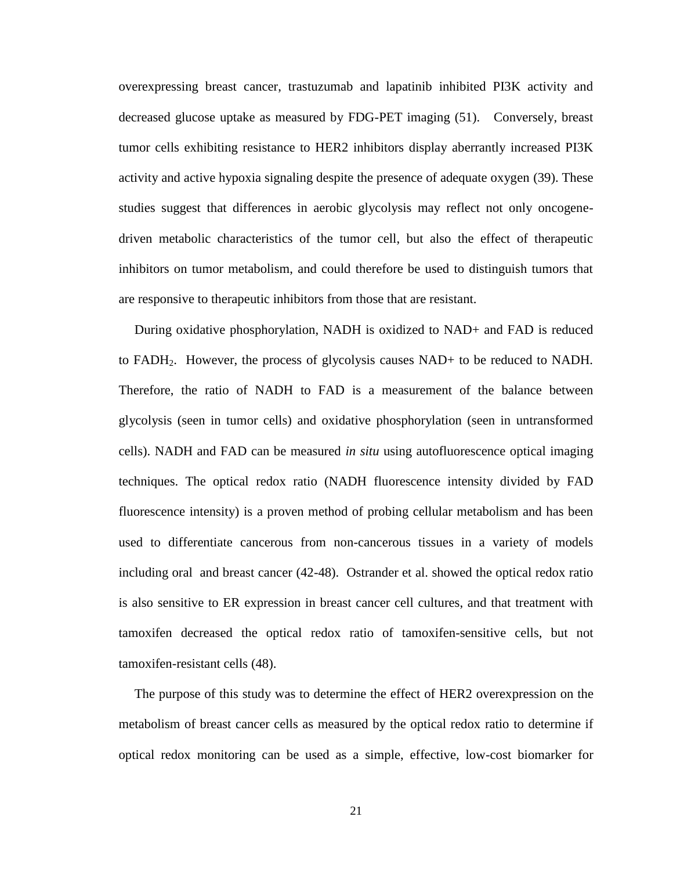overexpressing breast cancer, trastuzumab and lapatinib inhibited PI3K activity and decreased glucose uptake as measured by FDG-PET imaging [\(51\)](#page-48-2). Conversely, breast tumor cells exhibiting resistance to HER2 inhibitors display aberrantly increased PI3K activity and active hypoxia signaling despite the presence of adequate oxygen [\(39\)](#page-47-4). These studies suggest that differences in aerobic glycolysis may reflect not only oncogenedriven metabolic characteristics of the tumor cell, but also the effect of therapeutic inhibitors on tumor metabolism, and could therefore be used to distinguish tumors that are responsive to therapeutic inhibitors from those that are resistant.

During oxidative phosphorylation, NADH is oxidized to NAD+ and FAD is reduced to FADH2. However, the process of glycolysis causes NAD+ to be reduced to NADH. Therefore, the ratio of NADH to FAD is a measurement of the balance between glycolysis (seen in tumor cells) and oxidative phosphorylation (seen in untransformed cells). NADH and FAD can be measured *in situ* using autofluorescence optical imaging techniques. The optical redox ratio (NADH fluorescence intensity divided by FAD fluorescence intensity) is a proven method of probing cellular metabolism and has been used to differentiate cancerous from non-cancerous tissues in a variety of models including oral and breast cancer [\(42-48\)](#page-47-2). Ostrander et al. showed the optical redox ratio is also sensitive to ER expression in breast cancer cell cultures, and that treatment with tamoxifen decreased the optical redox ratio of tamoxifen-sensitive cells, but not tamoxifen-resistant cells [\(48\)](#page-47-3).

The purpose of this study was to determine the effect of HER2 overexpression on the metabolism of breast cancer cells as measured by the optical redox ratio to determine if optical redox monitoring can be used as a simple, effective, low-cost biomarker for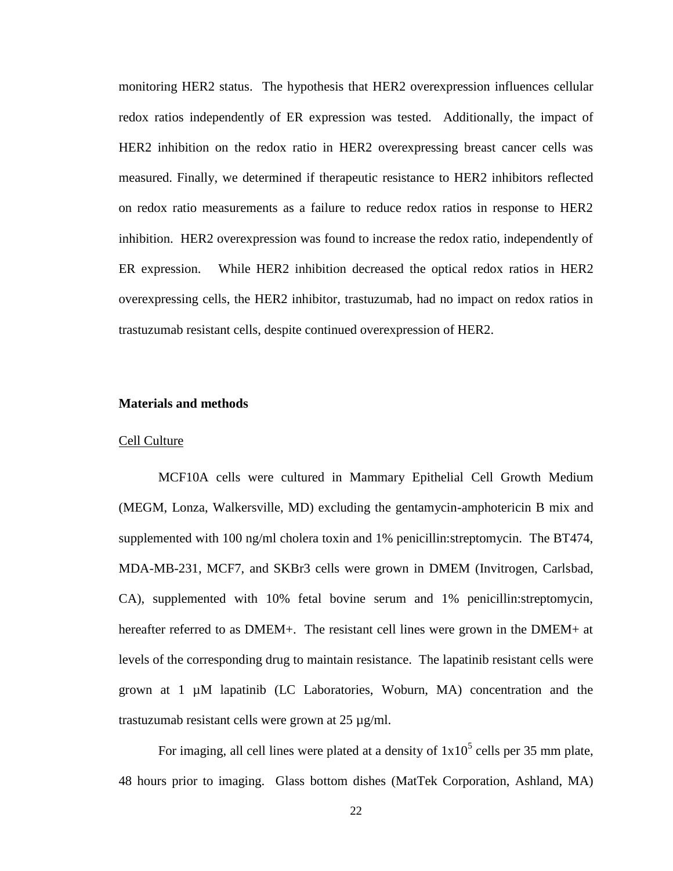monitoring HER2 status. The hypothesis that HER2 overexpression influences cellular redox ratios independently of ER expression was tested. Additionally, the impact of HER2 inhibition on the redox ratio in HER2 overexpressing breast cancer cells was measured. Finally, we determined if therapeutic resistance to HER2 inhibitors reflected on redox ratio measurements as a failure to reduce redox ratios in response to HER2 inhibition. HER2 overexpression was found to increase the redox ratio, independently of ER expression. While HER2 inhibition decreased the optical redox ratios in HER2 overexpressing cells, the HER2 inhibitor, trastuzumab, had no impact on redox ratios in trastuzumab resistant cells, despite continued overexpression of HER2.

#### **Materials and methods**

#### Cell Culture

MCF10A cells were cultured in Mammary Epithelial Cell Growth Medium (MEGM, Lonza, Walkersville, MD) excluding the gentamycin-amphotericin B mix and supplemented with 100 ng/ml cholera toxin and 1% penicillin:streptomycin. The BT474, MDA-MB-231, MCF7, and SKBr3 cells were grown in DMEM (Invitrogen, Carlsbad, CA), supplemented with 10% fetal bovine serum and 1% penicillin:streptomycin, hereafter referred to as DMEM+. The resistant cell lines were grown in the DMEM+ at levels of the corresponding drug to maintain resistance. The lapatinib resistant cells were grown at 1 µM lapatinib (LC Laboratories, Woburn, MA) concentration and the trastuzumab resistant cells were grown at 25 µg/ml.

For imaging, all cell lines were plated at a density of  $1x10^5$  cells per 35 mm plate, 48 hours prior to imaging. Glass bottom dishes (MatTek Corporation, Ashland, MA)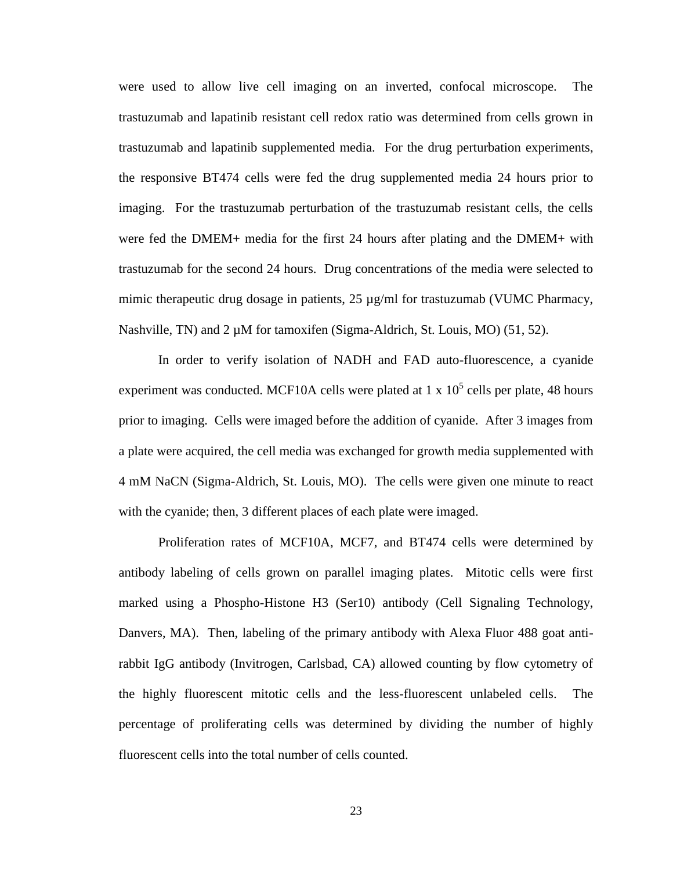were used to allow live cell imaging on an inverted, confocal microscope. The trastuzumab and lapatinib resistant cell redox ratio was determined from cells grown in trastuzumab and lapatinib supplemented media. For the drug perturbation experiments, the responsive BT474 cells were fed the drug supplemented media 24 hours prior to imaging. For the trastuzumab perturbation of the trastuzumab resistant cells, the cells were fed the DMEM+ media for the first 24 hours after plating and the DMEM+ with trastuzumab for the second 24 hours. Drug concentrations of the media were selected to mimic therapeutic drug dosage in patients, 25 µg/ml for trastuzumab (VUMC Pharmacy, Nashville, TN) and 2  $\mu$ M for tamoxifen (Sigma-Aldrich, St. Louis, MO) [\(51,](#page-48-2) [52\)](#page-48-3).

In order to verify isolation of NADH and FAD auto-fluorescence, a cyanide experiment was conducted. MCF10A cells were plated at 1 x  $10^5$  cells per plate, 48 hours prior to imaging. Cells were imaged before the addition of cyanide. After 3 images from a plate were acquired, the cell media was exchanged for growth media supplemented with 4 mM NaCN (Sigma-Aldrich, St. Louis, MO). The cells were given one minute to react with the cyanide; then, 3 different places of each plate were imaged.

Proliferation rates of MCF10A, MCF7, and BT474 cells were determined by antibody labeling of cells grown on parallel imaging plates. Mitotic cells were first marked using a Phospho-Histone H3 (Ser10) antibody (Cell Signaling Technology, Danvers, MA). Then, labeling of the primary antibody with Alexa Fluor 488 goat antirabbit IgG antibody (Invitrogen, Carlsbad, CA) allowed counting by flow cytometry of the highly fluorescent mitotic cells and the less-fluorescent unlabeled cells. The percentage of proliferating cells was determined by dividing the number of highly fluorescent cells into the total number of cells counted.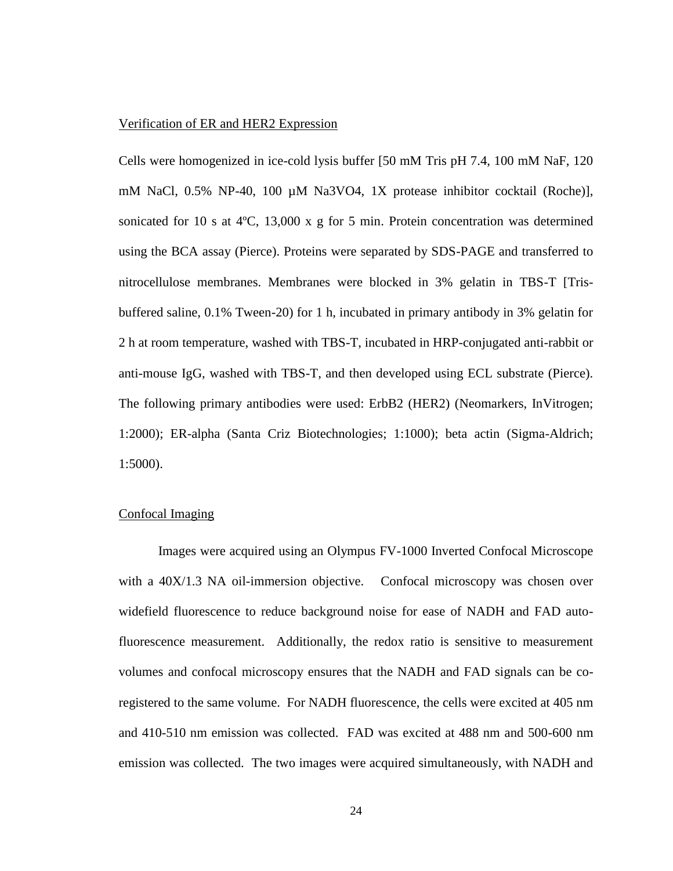## Verification of ER and HER2 Expression

Cells were homogenized in ice-cold lysis buffer [50 mM Tris pH 7.4, 100 mM NaF, 120 mM NaCl, 0.5% NP-40, 100 µM Na3VO4, 1X protease inhibitor cocktail (Roche)], sonicated for 10 s at  $4^{\circ}C$ , 13,000 x g for 5 min. Protein concentration was determined using the BCA assay (Pierce). Proteins were separated by SDS-PAGE and transferred to nitrocellulose membranes. Membranes were blocked in 3% gelatin in TBS-T [Trisbuffered saline, 0.1% Tween-20) for 1 h, incubated in primary antibody in 3% gelatin for 2 h at room temperature, washed with TBS-T, incubated in HRP-conjugated anti-rabbit or anti-mouse IgG, washed with TBS-T, and then developed using ECL substrate (Pierce). The following primary antibodies were used: ErbB2 (HER2) (Neomarkers, InVitrogen; 1:2000); ER-alpha (Santa Criz Biotechnologies; 1:1000); beta actin (Sigma-Aldrich; 1:5000).

## Confocal Imaging

Images were acquired using an Olympus FV-1000 Inverted Confocal Microscope with a 40X/1.3 NA oil-immersion objective. Confocal microscopy was chosen over widefield fluorescence to reduce background noise for ease of NADH and FAD autofluorescence measurement. Additionally, the redox ratio is sensitive to measurement volumes and confocal microscopy ensures that the NADH and FAD signals can be coregistered to the same volume. For NADH fluorescence, the cells were excited at 405 nm and 410-510 nm emission was collected. FAD was excited at 488 nm and 500-600 nm emission was collected. The two images were acquired simultaneously, with NADH and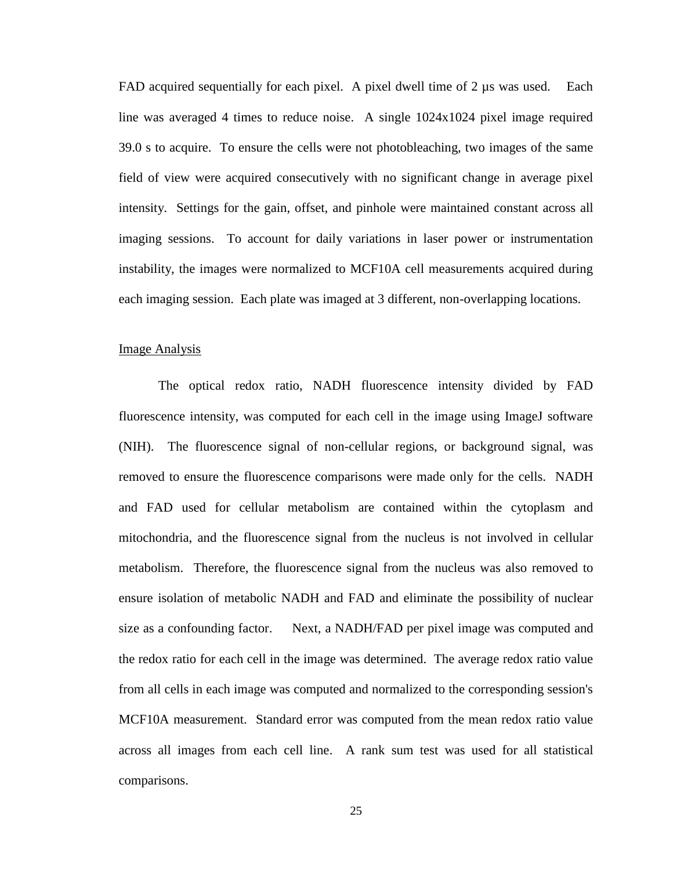FAD acquired sequentially for each pixel. A pixel dwell time of 2 µs was used. Each line was averaged 4 times to reduce noise. A single 1024x1024 pixel image required 39.0 s to acquire. To ensure the cells were not photobleaching, two images of the same field of view were acquired consecutively with no significant change in average pixel intensity. Settings for the gain, offset, and pinhole were maintained constant across all imaging sessions. To account for daily variations in laser power or instrumentation instability, the images were normalized to MCF10A cell measurements acquired during each imaging session. Each plate was imaged at 3 different, non-overlapping locations.

#### Image Analysis

The optical redox ratio, NADH fluorescence intensity divided by FAD fluorescence intensity, was computed for each cell in the image using ImageJ software (NIH). The fluorescence signal of non-cellular regions, or background signal, was removed to ensure the fluorescence comparisons were made only for the cells. NADH and FAD used for cellular metabolism are contained within the cytoplasm and mitochondria, and the fluorescence signal from the nucleus is not involved in cellular metabolism. Therefore, the fluorescence signal from the nucleus was also removed to ensure isolation of metabolic NADH and FAD and eliminate the possibility of nuclear size as a confounding factor. Next, a NADH/FAD per pixel image was computed and the redox ratio for each cell in the image was determined. The average redox ratio value from all cells in each image was computed and normalized to the corresponding session's MCF10A measurement. Standard error was computed from the mean redox ratio value across all images from each cell line. A rank sum test was used for all statistical comparisons.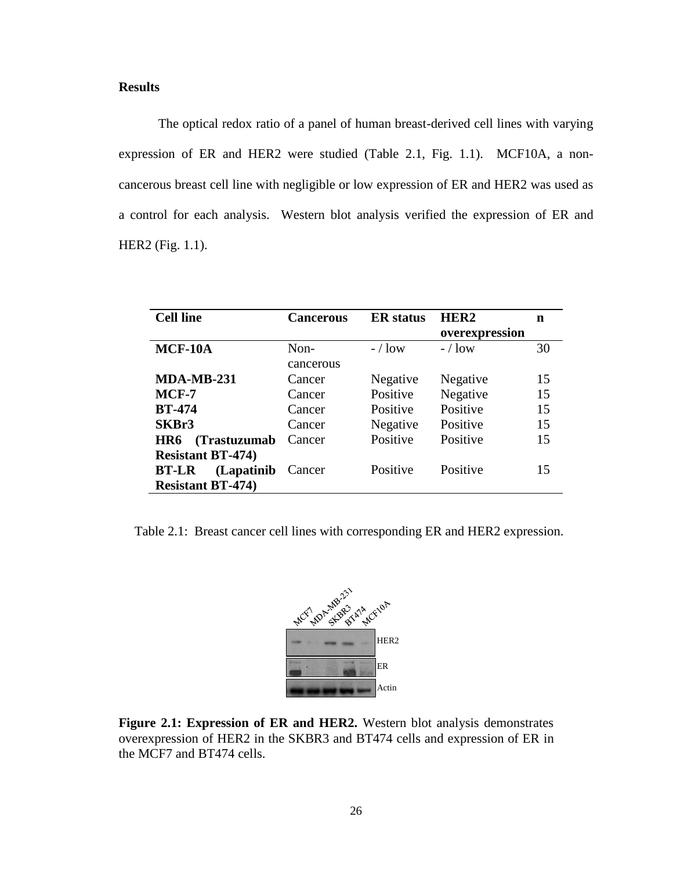# **Results**

The optical redox ratio of a panel of human breast-derived cell lines with varying expression of ER and HER2 were studied (Table 2.1, Fig. 1.1). MCF10A, a noncancerous breast cell line with negligible or low expression of ER and HER2 was used as a control for each analysis. Western blot analysis verified the expression of ER and HER2 (Fig. 1.1).

| <b>Cell line</b>            | <b>Cancerous</b> | <b>ER</b> status | HER <sub>2</sub> | n  |
|-----------------------------|------------------|------------------|------------------|----|
|                             |                  |                  | overexpression   |    |
| MCF-10A                     | $Non-$           | $-$ / low        | $-$ / low        | 30 |
|                             | cancerous        |                  |                  |    |
| <b>MDA-MB-231</b>           | Cancer           | Negative         | Negative         | 15 |
| MCF-7                       | Cancer           | Positive         | Negative         | 15 |
| <b>BT-474</b>               | Cancer           | Positive         | Positive         | 15 |
| SKBr3                       | Cancer           | Negative         | Positive         | 15 |
| (Trastuzumab<br>HR6         | Cancer           | Positive         | Positive         | 15 |
| <b>Resistant BT-474)</b>    |                  |                  |                  |    |
| (Lapatinib)<br><b>BT-LR</b> | Cancer           | Positive         | Positive         | 15 |
| <b>Resistant BT-474)</b>    |                  |                  |                  |    |

Table 2.1: Breast cancer cell lines with corresponding ER and HER2 expression.



**Figure 2.1: Expression of ER and HER2.** Western blot analysis demonstrates overexpression of HER2 in the SKBR3 and BT474 cells and expression of ER in the MCF7 and BT474 cells.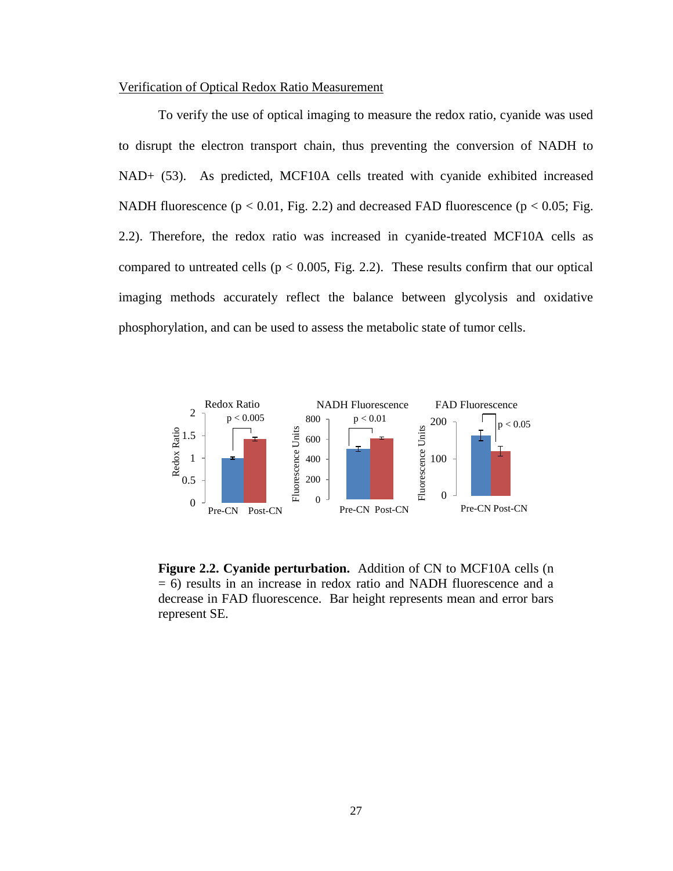### Verification of Optical Redox Ratio Measurement

To verify the use of optical imaging to measure the redox ratio, cyanide was used to disrupt the electron transport chain, thus preventing the conversion of NADH to NAD+ [\(53\)](#page-48-4). As predicted, MCF10A cells treated with cyanide exhibited increased NADH fluorescence ( $p < 0.01$ , Fig. 2.2) and decreased FAD fluorescence ( $p < 0.05$ ; Fig. 2.2). Therefore, the redox ratio was increased in cyanide-treated MCF10A cells as compared to untreated cells ( $p < 0.005$ , Fig. 2.2). These results confirm that our optical imaging methods accurately reflect the balance between glycolysis and oxidative phosphorylation, and can be used to assess the metabolic state of tumor cells.



**Figure 2.2. Cyanide perturbation.** Addition of CN to MCF10A cells (n = 6) results in an increase in redox ratio and NADH fluorescence and a decrease in FAD fluorescence. Bar height represents mean and error bars represent SE.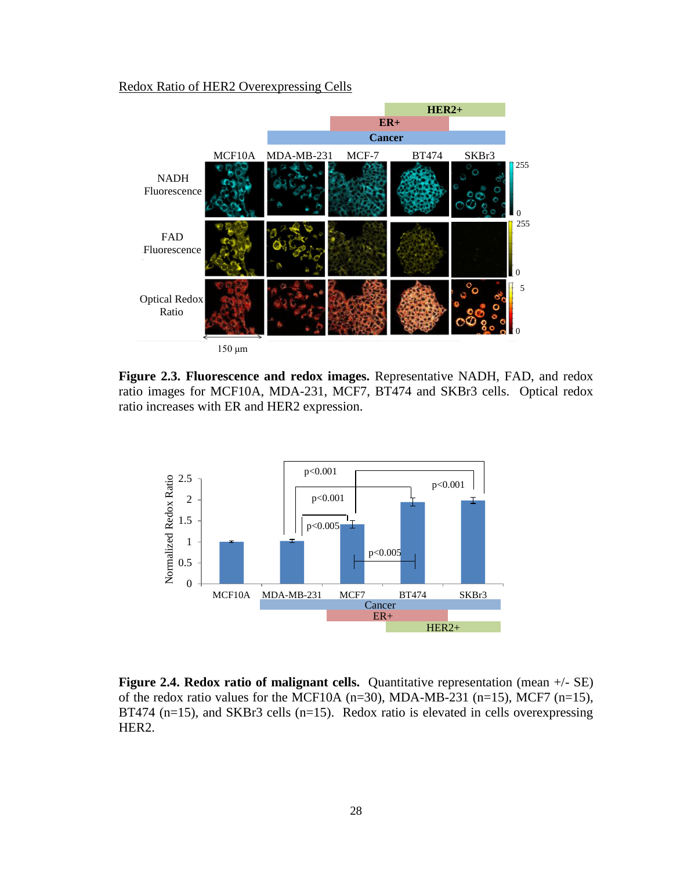## Redox Ratio of HER2 Overexpressing Cells



**Figure 2.3. Fluorescence and redox images.** Representative NADH, FAD, and redox ratio images for MCF10A, MDA-231, MCF7, BT474 and SKBr3 cells. Optical redox ratio increases with ER and HER2 expression.



**Figure 2.4. Redox ratio of malignant cells.** Quantitative representation (mean  $+/-$  SE) of the redox ratio values for the MCF10A  $(n=30)$ , MDA-MB-231  $(n=15)$ , MCF7  $(n=15)$ , BT474 (n=15), and SKBr3 cells (n=15). Redox ratio is elevated in cells overexpressing HER2.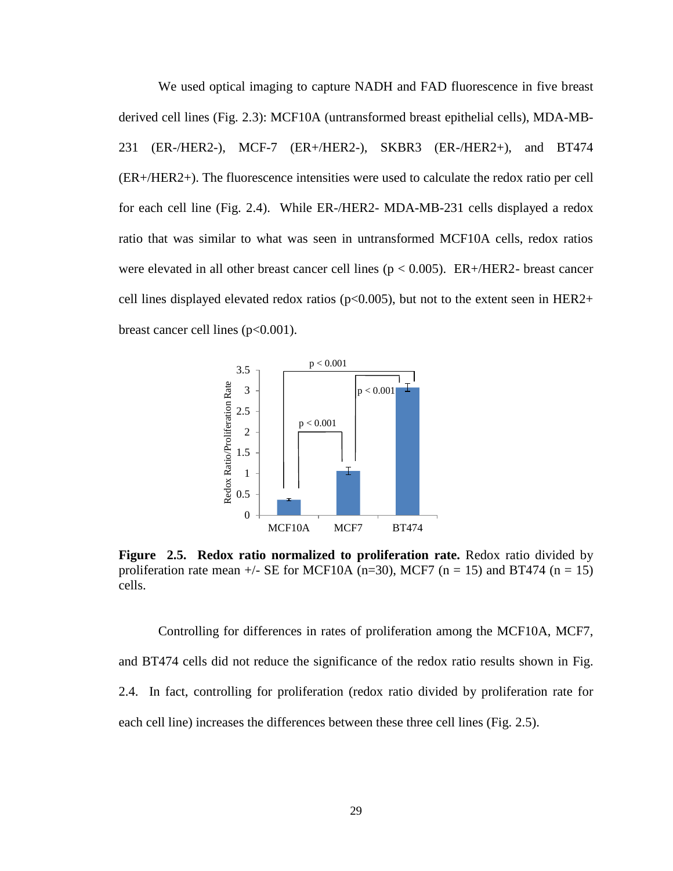We used optical imaging to capture NADH and FAD fluorescence in five breast derived cell lines (Fig. 2.3): MCF10A (untransformed breast epithelial cells), MDA-MB-231 (ER-/HER2-), MCF-7 (ER+/HER2-), SKBR3 (ER-/HER2+), and BT474 (ER+/HER2+). The fluorescence intensities were used to calculate the redox ratio per cell for each cell line (Fig. 2.4). While ER-/HER2- MDA-MB-231 cells displayed a redox ratio that was similar to what was seen in untransformed MCF10A cells, redox ratios were elevated in all other breast cancer cell lines ( $p < 0.005$ ). ER+/HER2- breast cancer cell lines displayed elevated redox ratios ( $p<0.005$ ), but not to the extent seen in HER2+ breast cancer cell lines  $(p<0.001)$ .



**Figure 2.5. Redox ratio normalized to proliferation rate.** Redox ratio divided by proliferation rate mean  $+/-$  SE for MCF10A (n=30), MCF7 (n = 15) and BT474 (n = 15) cells.

Controlling for differences in rates of proliferation among the MCF10A, MCF7, and BT474 cells did not reduce the significance of the redox ratio results shown in Fig. 2.4. In fact, controlling for proliferation (redox ratio divided by proliferation rate for each cell line) increases the differences between these three cell lines (Fig. 2.5).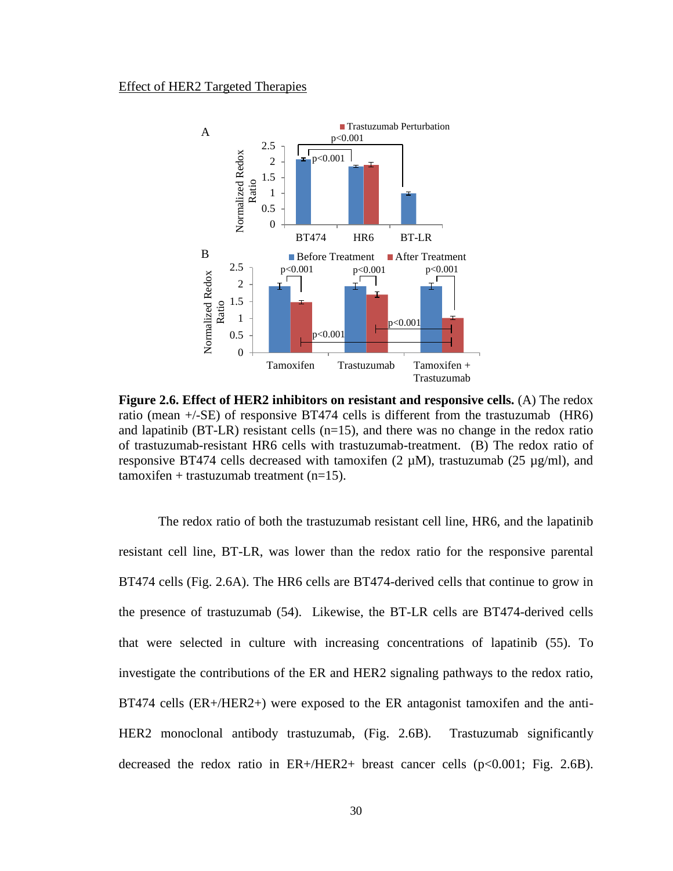#### Effect of HER2 Targeted Therapies



**Figure 2.6. Effect of HER2 inhibitors on resistant and responsive cells.** (A) The redox ratio (mean +/-SE) of responsive BT474 cells is different from the trastuzumab (HR6) and lapatinib ( $BT-LR$ ) resistant cells ( $n=15$ ), and there was no change in the redox ratio of trastuzumab-resistant HR6 cells with trastuzumab-treatment. (B) The redox ratio of responsive BT474 cells decreased with tamoxifen (2  $\mu$ M), trastuzumab (25  $\mu$ g/ml), and  $t$ amoxifen + trastuzumab treatment (n=15).

The redox ratio of both the trastuzumab resistant cell line, HR6, and the lapatinib resistant cell line, BT-LR, was lower than the redox ratio for the responsive parental BT474 cells (Fig. 2.6A). The HR6 cells are BT474-derived cells that continue to grow in the presence of trastuzumab [\(54\)](#page-48-5). Likewise, the BT-LR cells are BT474-derived cells that were selected in culture with increasing concentrations of lapatinib [\(55\)](#page-48-6). To investigate the contributions of the ER and HER2 signaling pathways to the redox ratio, BT474 cells (ER+/HER2+) were exposed to the ER antagonist tamoxifen and the anti-HER2 monoclonal antibody trastuzumab, (Fig. 2.6B). Trastuzumab significantly decreased the redox ratio in  $ER+/HER2+$  breast cancer cells ( $p<0.001$ ; Fig. 2.6B).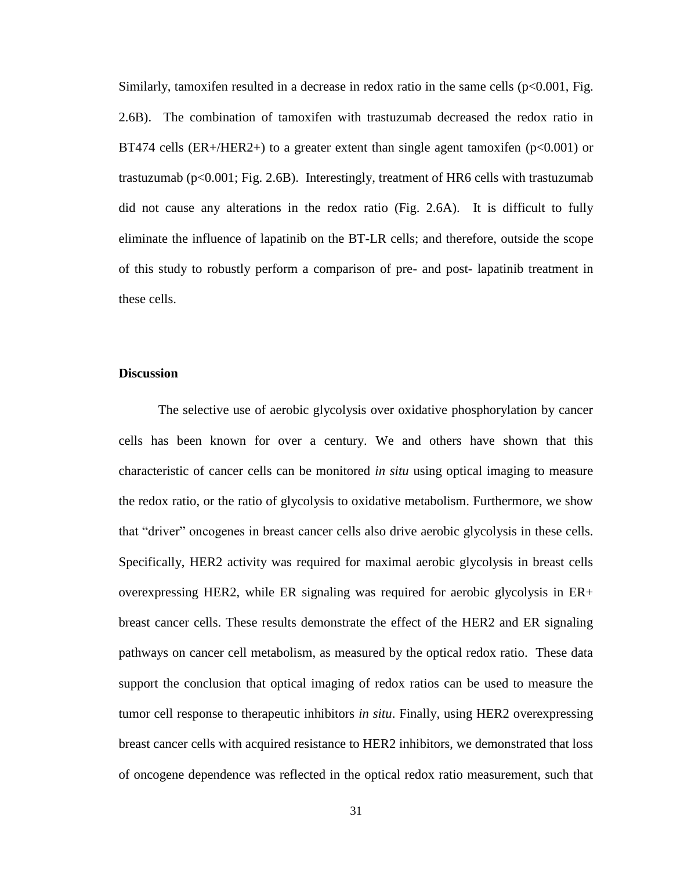Similarly, tamoxifen resulted in a decrease in redox ratio in the same cells  $(p<0.001, Fig.$ 2.6B). The combination of tamoxifen with trastuzumab decreased the redox ratio in BT474 cells (ER+/HER2+) to a greater extent than single agent tamoxifen ( $p<0.001$ ) or trastuzumab ( $p < 0.001$ ; Fig. 2.6B). Interestingly, treatment of HR6 cells with trastuzumab did not cause any alterations in the redox ratio (Fig. 2.6A). It is difficult to fully eliminate the influence of lapatinib on the BT-LR cells; and therefore, outside the scope of this study to robustly perform a comparison of pre- and post- lapatinib treatment in these cells.

#### **Discussion**

The selective use of aerobic glycolysis over oxidative phosphorylation by cancer cells has been known for over a century. We and others have shown that this characteristic of cancer cells can be monitored *in situ* using optical imaging to measure the redox ratio, or the ratio of glycolysis to oxidative metabolism. Furthermore, we show that "driver" oncogenes in breast cancer cells also drive aerobic glycolysis in these cells. Specifically, HER2 activity was required for maximal aerobic glycolysis in breast cells overexpressing HER2, while ER signaling was required for aerobic glycolysis in ER+ breast cancer cells. These results demonstrate the effect of the HER2 and ER signaling pathways on cancer cell metabolism, as measured by the optical redox ratio. These data support the conclusion that optical imaging of redox ratios can be used to measure the tumor cell response to therapeutic inhibitors *in situ*. Finally, using HER2 overexpressing breast cancer cells with acquired resistance to HER2 inhibitors, we demonstrated that loss of oncogene dependence was reflected in the optical redox ratio measurement, such that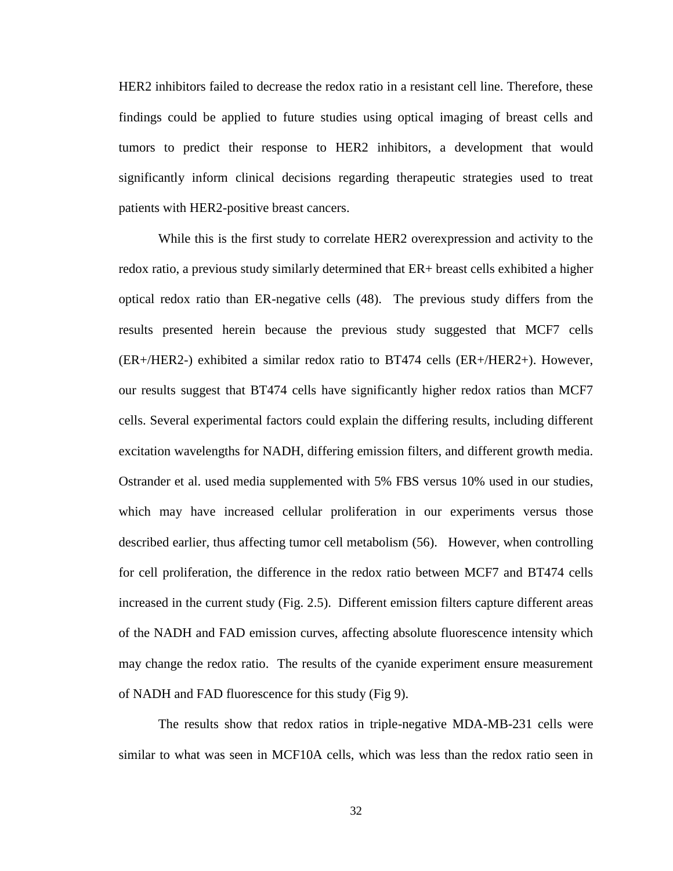HER2 inhibitors failed to decrease the redox ratio in a resistant cell line. Therefore, these findings could be applied to future studies using optical imaging of breast cells and tumors to predict their response to HER2 inhibitors, a development that would significantly inform clinical decisions regarding therapeutic strategies used to treat patients with HER2-positive breast cancers.

While this is the first study to correlate HER2 overexpression and activity to the redox ratio, a previous study similarly determined that ER+ breast cells exhibited a higher optical redox ratio than ER-negative cells [\(48\)](#page-47-3). The previous study differs from the results presented herein because the previous study suggested that MCF7 cells (ER+/HER2-) exhibited a similar redox ratio to BT474 cells (ER+/HER2+). However, our results suggest that BT474 cells have significantly higher redox ratios than MCF7 cells. Several experimental factors could explain the differing results, including different excitation wavelengths for NADH, differing emission filters, and different growth media. Ostrander et al. used media supplemented with 5% FBS versus 10% used in our studies, which may have increased cellular proliferation in our experiments versus those described earlier, thus affecting tumor cell metabolism [\(56\)](#page-48-7). However, when controlling for cell proliferation, the difference in the redox ratio between MCF7 and BT474 cells increased in the current study (Fig. 2.5). Different emission filters capture different areas of the NADH and FAD emission curves, affecting absolute fluorescence intensity which may change the redox ratio. The results of the cyanide experiment ensure measurement of NADH and FAD fluorescence for this study (Fig 9).

The results show that redox ratios in triple-negative MDA-MB-231 cells were similar to what was seen in MCF10A cells, which was less than the redox ratio seen in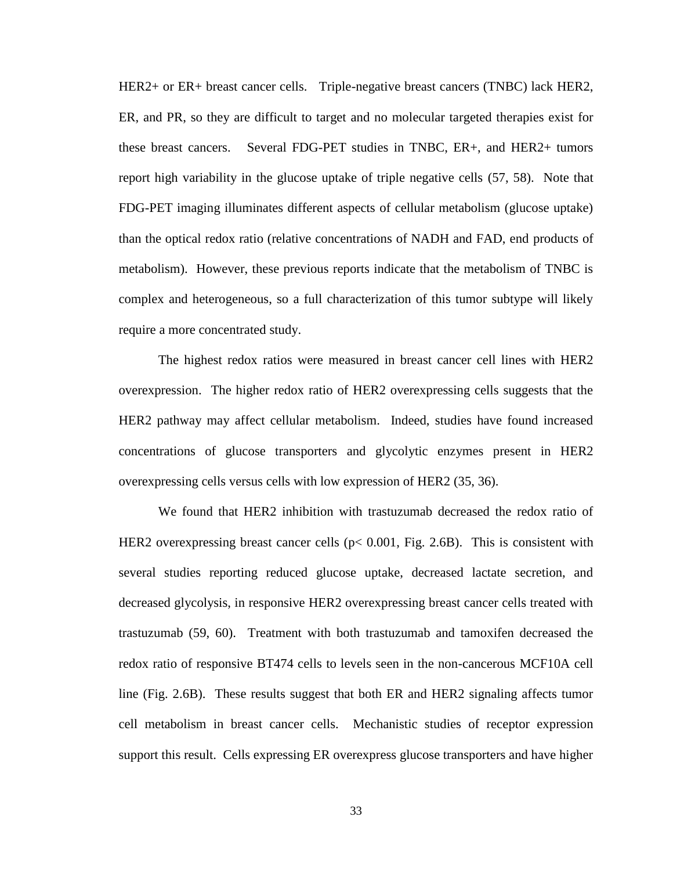HER2+ or ER+ breast cancer cells. Triple-negative breast cancers (TNBC) lack HER2, ER, and PR, so they are difficult to target and no molecular targeted therapies exist for these breast cancers. Several FDG-PET studies in TNBC, ER+, and HER2+ tumors report high variability in the glucose uptake of triple negative cells [\(57,](#page-48-8) [58\)](#page-48-9). Note that FDG-PET imaging illuminates different aspects of cellular metabolism (glucose uptake) than the optical redox ratio (relative concentrations of NADH and FAD, end products of metabolism). However, these previous reports indicate that the metabolism of TNBC is complex and heterogeneous, so a full characterization of this tumor subtype will likely require a more concentrated study.

The highest redox ratios were measured in breast cancer cell lines with HER2 overexpression. The higher redox ratio of HER2 overexpressing cells suggests that the HER2 pathway may affect cellular metabolism. Indeed, studies have found increased concentrations of glucose transporters and glycolytic enzymes present in HER2 overexpressing cells versus cells with low expression of HER2 [\(35,](#page-46-7) [36\)](#page-46-8).

We found that HER2 inhibition with trastuzumab decreased the redox ratio of HER2 overexpressing breast cancer cells  $(p< 0.001$ , Fig. 2.6B). This is consistent with several studies reporting reduced glucose uptake, decreased lactate secretion, and decreased glycolysis, in responsive HER2 overexpressing breast cancer cells treated with trastuzumab [\(59,](#page-49-0) [60\)](#page-49-1). Treatment with both trastuzumab and tamoxifen decreased the redox ratio of responsive BT474 cells to levels seen in the non-cancerous MCF10A cell line (Fig. 2.6B). These results suggest that both ER and HER2 signaling affects tumor cell metabolism in breast cancer cells. Mechanistic studies of receptor expression support this result. Cells expressing ER overexpress glucose transporters and have higher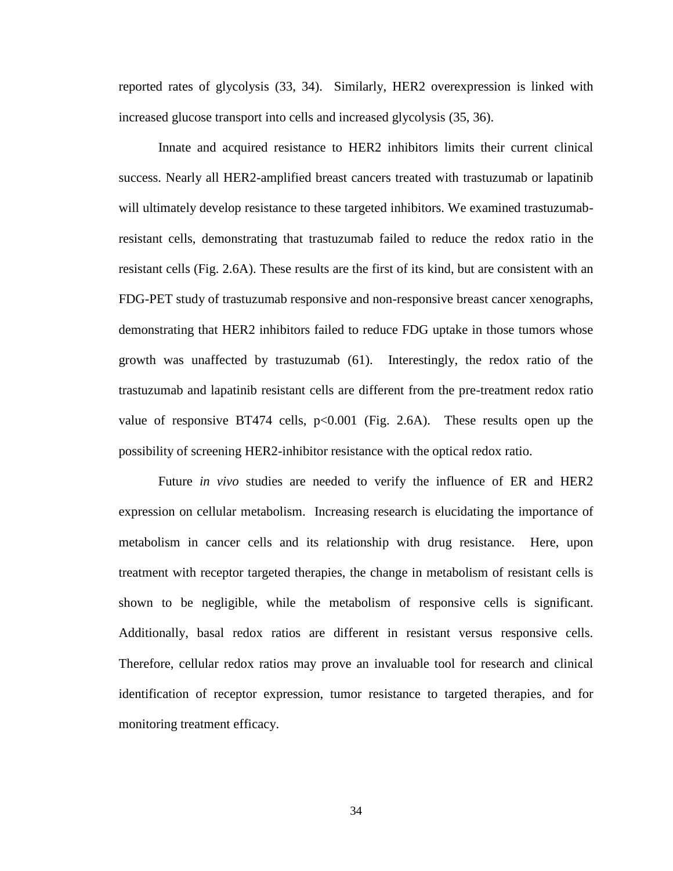reported rates of glycolysis [\(33,](#page-46-5) [34\)](#page-46-6). Similarly, HER2 overexpression is linked with increased glucose transport into cells and increased glycolysis [\(35,](#page-46-7) [36\)](#page-46-8).

Innate and acquired resistance to HER2 inhibitors limits their current clinical success. Nearly all HER2-amplified breast cancers treated with trastuzumab or lapatinib will ultimately develop resistance to these targeted inhibitors. We examined trastuzumabresistant cells, demonstrating that trastuzumab failed to reduce the redox ratio in the resistant cells (Fig. 2.6A). These results are the first of its kind, but are consistent with an FDG-PET study of trastuzumab responsive and non-responsive breast cancer xenographs, demonstrating that HER2 inhibitors failed to reduce FDG uptake in those tumors whose growth was unaffected by trastuzumab [\(61\)](#page-49-2). Interestingly, the redox ratio of the trastuzumab and lapatinib resistant cells are different from the pre-treatment redox ratio value of responsive BT474 cells,  $p<0.001$  (Fig. 2.6A). These results open up the possibility of screening HER2-inhibitor resistance with the optical redox ratio.

Future *in vivo* studies are needed to verify the influence of ER and HER2 expression on cellular metabolism. Increasing research is elucidating the importance of metabolism in cancer cells and its relationship with drug resistance. Here, upon treatment with receptor targeted therapies, the change in metabolism of resistant cells is shown to be negligible, while the metabolism of responsive cells is significant. Additionally, basal redox ratios are different in resistant versus responsive cells. Therefore, cellular redox ratios may prove an invaluable tool for research and clinical identification of receptor expression, tumor resistance to targeted therapies, and for monitoring treatment efficacy.

34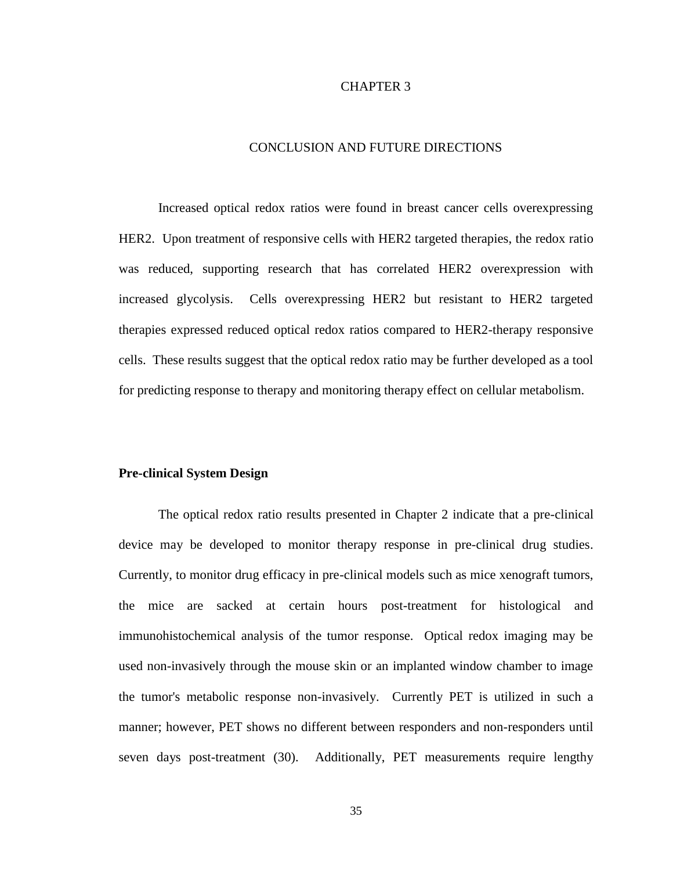## CHAPTER 3

## CONCLUSION AND FUTURE DIRECTIONS

Increased optical redox ratios were found in breast cancer cells overexpressing HER2. Upon treatment of responsive cells with HER2 targeted therapies, the redox ratio was reduced, supporting research that has correlated HER2 overexpression with increased glycolysis. Cells overexpressing HER2 but resistant to HER2 targeted therapies expressed reduced optical redox ratios compared to HER2-therapy responsive cells. These results suggest that the optical redox ratio may be further developed as a tool for predicting response to therapy and monitoring therapy effect on cellular metabolism.

#### **Pre-clinical System Design**

The optical redox ratio results presented in Chapter 2 indicate that a pre-clinical device may be developed to monitor therapy response in pre-clinical drug studies. Currently, to monitor drug efficacy in pre-clinical models such as mice xenograft tumors, the mice are sacked at certain hours post-treatment for histological and immunohistochemical analysis of the tumor response. Optical redox imaging may be used non-invasively through the mouse skin or an implanted window chamber to image the tumor's metabolic response non-invasively. Currently PET is utilized in such a manner; however, PET shows no different between responders and non-responders until seven days post-treatment [\(30\)](#page-46-2). Additionally, PET measurements require lengthy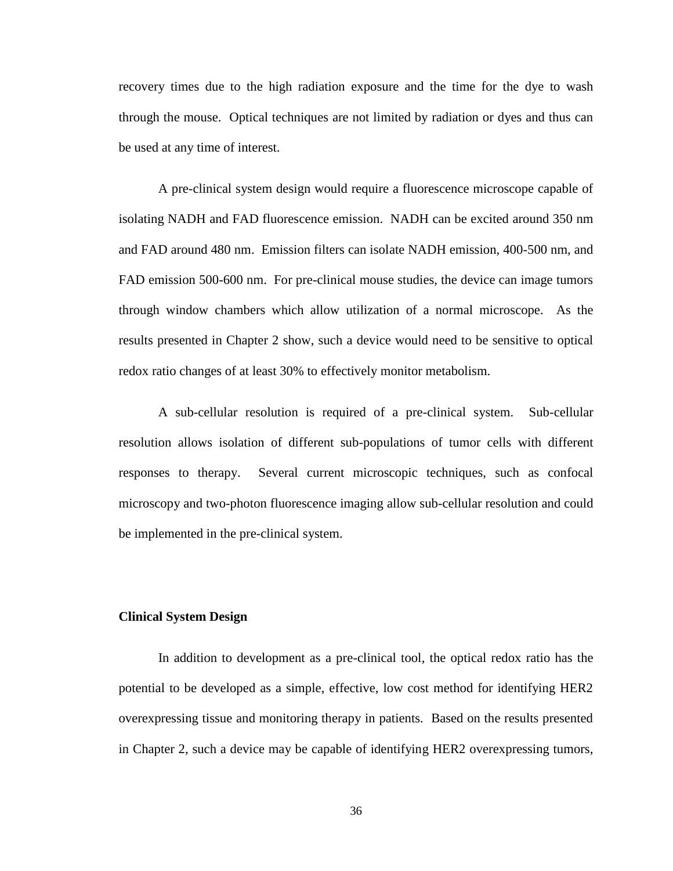recovery times due to the high radiation exposure and the time for the dye to wash through the mouse. Optical techniques are not limited by radiation or dyes and thus can be used at any time of interest.

A pre-clinical system design would require a fluorescence microscope capable of isolating NADH and FAD fluorescence emission. NADH can be excited around 350 nm and FAD around 480 nm. Emission filters can isolate NADH emission, 400-500 nm, and FAD emission 500-600 nm. For pre-clinical mouse studies, the device can image tumors through window chambers which allow utilization of a normal microscope. As the results presented in Chapter 2 show, such a device would need to be sensitive to optical redox ratio changes of at least 30% to effectively monitor metabolism.

A sub-cellular resolution is required of a pre-clinical system. Sub-cellular resolution allows isolation of different sub-populations of tumor cells with different responses to therapy. Several current microscopic techniques, such as confocal microscopy and two-photon fluorescence imaging allow sub-cellular resolution and could be implemented in the pre-clinical system.

## **Clinical System Design**

In addition to development as a pre-clinical tool, the optical redox ratio has the potential to be developed as a simple, effective, low cost method for identifying HER2 overexpressing tissue and monitoring therapy in patients. Based on the results presented in Chapter 2, such a device may be capable of identifying HER2 overexpressing tumors,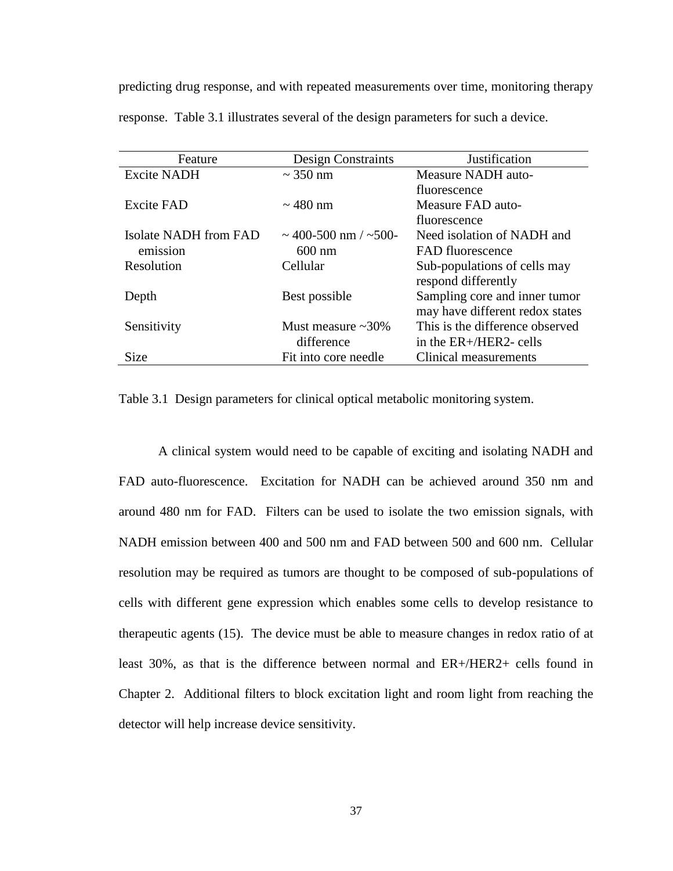predicting drug response, and with repeated measurements over time, monitoring therapy response. Table 3.1 illustrates several of the design parameters for such a device.

| Feature               | <b>Design Constraints</b> | Justification                   |
|-----------------------|---------------------------|---------------------------------|
| <b>Excite NADH</b>    | $\sim$ 350 nm             | Measure NADH auto-              |
|                       |                           | fluorescence                    |
| <b>Excite FAD</b>     | $\sim$ 480 nm             | Measure FAD auto-               |
|                       |                           | fluorescence                    |
| Isolate NADH from FAD | $\sim$ 400-500 nm / ~500- | Need isolation of NADH and      |
| emission              | $600 \text{ nm}$          | FAD fluorescence                |
| Resolution            | Cellular                  | Sub-populations of cells may    |
|                       |                           | respond differently             |
| Depth                 | Best possible             | Sampling core and inner tumor   |
|                       |                           | may have different redox states |
| Sensitivity           | Must measure $\sim$ 30%   | This is the difference observed |
|                       | difference                | in the $ER+ / HER2$ - cells     |
| <b>Size</b>           | Fit into core needle      | Clinical measurements           |

Table 3.1 Design parameters for clinical optical metabolic monitoring system.

A clinical system would need to be capable of exciting and isolating NADH and FAD auto-fluorescence. Excitation for NADH can be achieved around 350 nm and around 480 nm for FAD. Filters can be used to isolate the two emission signals, with NADH emission between 400 and 500 nm and FAD between 500 and 600 nm. Cellular resolution may be required as tumors are thought to be composed of sub-populations of cells with different gene expression which enables some cells to develop resistance to therapeutic agents [\(15\)](#page-45-0). The device must be able to measure changes in redox ratio of at least 30%, as that is the difference between normal and ER+/HER2+ cells found in Chapter 2. Additional filters to block excitation light and room light from reaching the detector will help increase device sensitivity.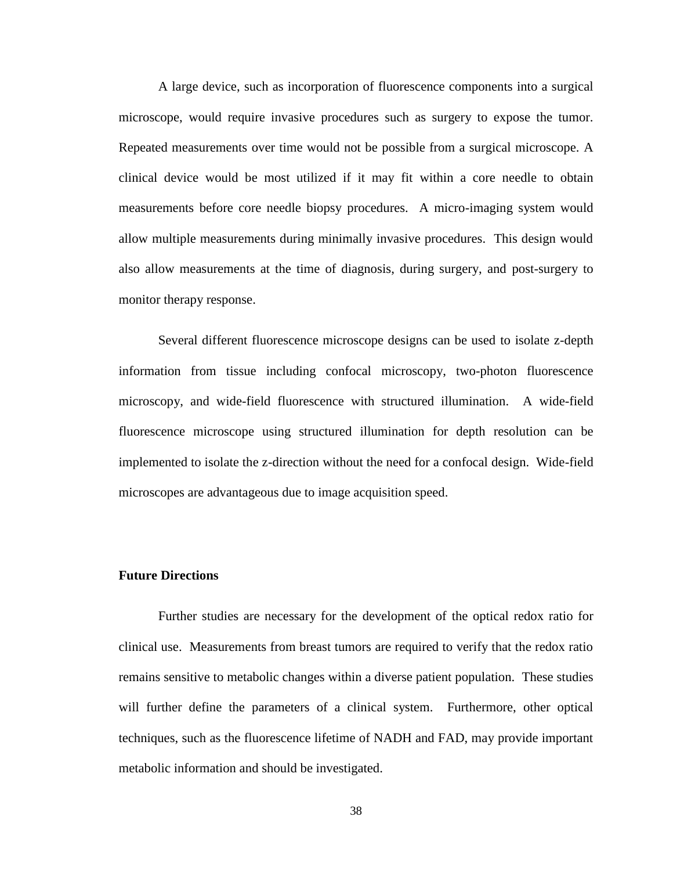A large device, such as incorporation of fluorescence components into a surgical microscope, would require invasive procedures such as surgery to expose the tumor. Repeated measurements over time would not be possible from a surgical microscope. A clinical device would be most utilized if it may fit within a core needle to obtain measurements before core needle biopsy procedures. A micro-imaging system would allow multiple measurements during minimally invasive procedures. This design would also allow measurements at the time of diagnosis, during surgery, and post-surgery to monitor therapy response.

Several different fluorescence microscope designs can be used to isolate z-depth information from tissue including confocal microscopy, two-photon fluorescence microscopy, and wide-field fluorescence with structured illumination. A wide-field fluorescence microscope using structured illumination for depth resolution can be implemented to isolate the z-direction without the need for a confocal design. Wide-field microscopes are advantageous due to image acquisition speed.

## **Future Directions**

Further studies are necessary for the development of the optical redox ratio for clinical use. Measurements from breast tumors are required to verify that the redox ratio remains sensitive to metabolic changes within a diverse patient population. These studies will further define the parameters of a clinical system. Furthermore, other optical techniques, such as the fluorescence lifetime of NADH and FAD, may provide important metabolic information and should be investigated.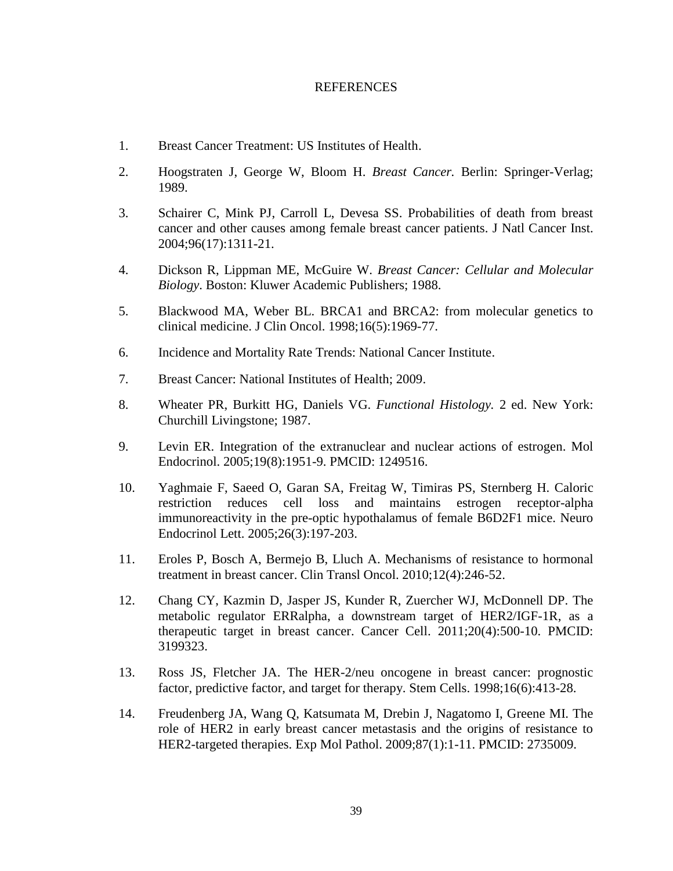### REFERENCES

- <span id="page-44-0"></span>1. Breast Cancer Treatment: US Institutes of Health.
- <span id="page-44-1"></span>2. Hoogstraten J, George W, Bloom H. *Breast Cancer.* Berlin: Springer-Verlag; 1989.
- <span id="page-44-2"></span>3. Schairer C, Mink PJ, Carroll L, Devesa SS. Probabilities of death from breast cancer and other causes among female breast cancer patients. J Natl Cancer Inst. 2004;96(17):1311-21.
- <span id="page-44-3"></span>4. Dickson R, Lippman ME, McGuire W. *Breast Cancer: Cellular and Molecular Biology*. Boston: Kluwer Academic Publishers; 1988.
- <span id="page-44-4"></span>5. Blackwood MA, Weber BL. BRCA1 and BRCA2: from molecular genetics to clinical medicine. J Clin Oncol. 1998;16(5):1969-77.
- <span id="page-44-5"></span>6. Incidence and Mortality Rate Trends: National Cancer Institute.
- <span id="page-44-6"></span>7. Breast Cancer: National Institutes of Health; 2009.
- <span id="page-44-7"></span>8. Wheater PR, Burkitt HG, Daniels VG. *Functional Histology.* 2 ed. New York: Churchill Livingstone; 1987.
- <span id="page-44-8"></span>9. Levin ER. Integration of the extranuclear and nuclear actions of estrogen. Mol Endocrinol. 2005;19(8):1951-9. PMCID: 1249516.
- <span id="page-44-9"></span>10. Yaghmaie F, Saeed O, Garan SA, Freitag W, Timiras PS, Sternberg H. Caloric restriction reduces cell loss and maintains estrogen receptor-alpha immunoreactivity in the pre-optic hypothalamus of female B6D2F1 mice. Neuro Endocrinol Lett. 2005;26(3):197-203.
- <span id="page-44-10"></span>11. Eroles P, Bosch A, Bermejo B, Lluch A. Mechanisms of resistance to hormonal treatment in breast cancer. Clin Transl Oncol. 2010;12(4):246-52.
- <span id="page-44-11"></span>12. Chang CY, Kazmin D, Jasper JS, Kunder R, Zuercher WJ, McDonnell DP. The metabolic regulator ERRalpha, a downstream target of HER2/IGF-1R, as a therapeutic target in breast cancer. Cancer Cell. 2011;20(4):500-10. PMCID: 3199323.
- <span id="page-44-12"></span>13. Ross JS, Fletcher JA. The HER-2/neu oncogene in breast cancer: prognostic factor, predictive factor, and target for therapy. Stem Cells. 1998;16(6):413-28.
- <span id="page-44-13"></span>14. Freudenberg JA, Wang Q, Katsumata M, Drebin J, Nagatomo I, Greene MI. The role of HER2 in early breast cancer metastasis and the origins of resistance to HER2-targeted therapies. Exp Mol Pathol. 2009;87(1):1-11. PMCID: 2735009.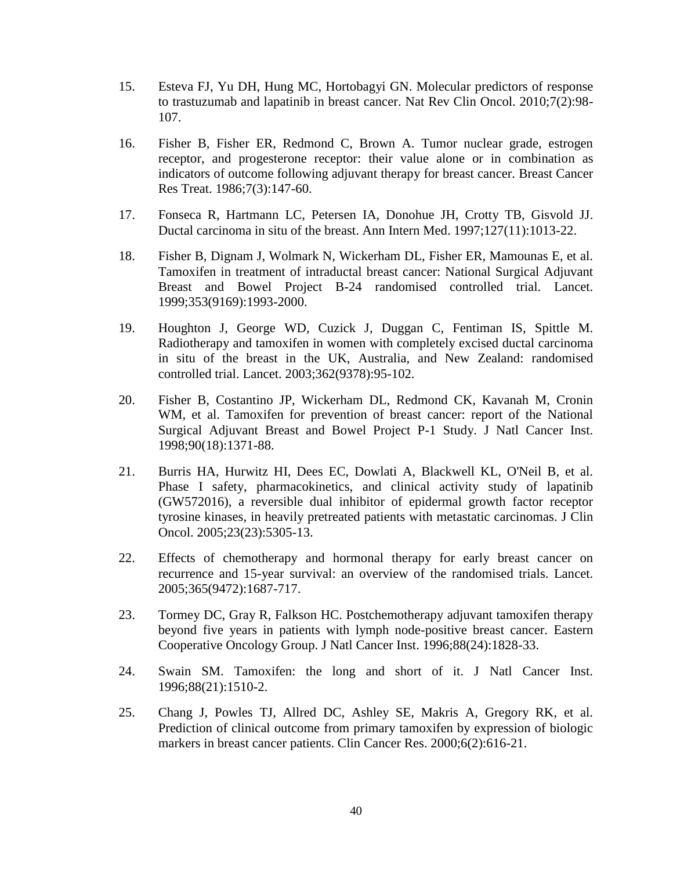- <span id="page-45-0"></span>15. Esteva FJ, Yu DH, Hung MC, Hortobagyi GN. Molecular predictors of response to trastuzumab and lapatinib in breast cancer. Nat Rev Clin Oncol. 2010;7(2):98- 107.
- <span id="page-45-1"></span>16. Fisher B, Fisher ER, Redmond C, Brown A. Tumor nuclear grade, estrogen receptor, and progesterone receptor: their value alone or in combination as indicators of outcome following adjuvant therapy for breast cancer. Breast Cancer Res Treat. 1986;7(3):147-60.
- <span id="page-45-2"></span>17. Fonseca R, Hartmann LC, Petersen IA, Donohue JH, Crotty TB, Gisvold JJ. Ductal carcinoma in situ of the breast. Ann Intern Med. 1997;127(11):1013-22.
- <span id="page-45-3"></span>18. Fisher B, Dignam J, Wolmark N, Wickerham DL, Fisher ER, Mamounas E, et al. Tamoxifen in treatment of intraductal breast cancer: National Surgical Adjuvant Breast and Bowel Project B-24 randomised controlled trial. Lancet. 1999;353(9169):1993-2000.
- <span id="page-45-4"></span>19. Houghton J, George WD, Cuzick J, Duggan C, Fentiman IS, Spittle M. Radiotherapy and tamoxifen in women with completely excised ductal carcinoma in situ of the breast in the UK, Australia, and New Zealand: randomised controlled trial. Lancet. 2003;362(9378):95-102.
- <span id="page-45-5"></span>20. Fisher B, Costantino JP, Wickerham DL, Redmond CK, Kavanah M, Cronin WM, et al. Tamoxifen for prevention of breast cancer: report of the National Surgical Adjuvant Breast and Bowel Project P-1 Study. J Natl Cancer Inst. 1998;90(18):1371-88.
- <span id="page-45-6"></span>21. Burris HA, Hurwitz HI, Dees EC, Dowlati A, Blackwell KL, O'Neil B, et al. Phase I safety, pharmacokinetics, and clinical activity study of lapatinib (GW572016), a reversible dual inhibitor of epidermal growth factor receptor tyrosine kinases, in heavily pretreated patients with metastatic carcinomas. J Clin Oncol. 2005;23(23):5305-13.
- <span id="page-45-7"></span>22. Effects of chemotherapy and hormonal therapy for early breast cancer on recurrence and 15-year survival: an overview of the randomised trials. Lancet. 2005;365(9472):1687-717.
- <span id="page-45-8"></span>23. Tormey DC, Gray R, Falkson HC. Postchemotherapy adjuvant tamoxifen therapy beyond five years in patients with lymph node-positive breast cancer. Eastern Cooperative Oncology Group. J Natl Cancer Inst. 1996;88(24):1828-33.
- <span id="page-45-9"></span>24. Swain SM. Tamoxifen: the long and short of it. J Natl Cancer Inst. 1996;88(21):1510-2.
- <span id="page-45-10"></span>25. Chang J, Powles TJ, Allred DC, Ashley SE, Makris A, Gregory RK, et al. Prediction of clinical outcome from primary tamoxifen by expression of biologic markers in breast cancer patients. Clin Cancer Res. 2000;6(2):616-21.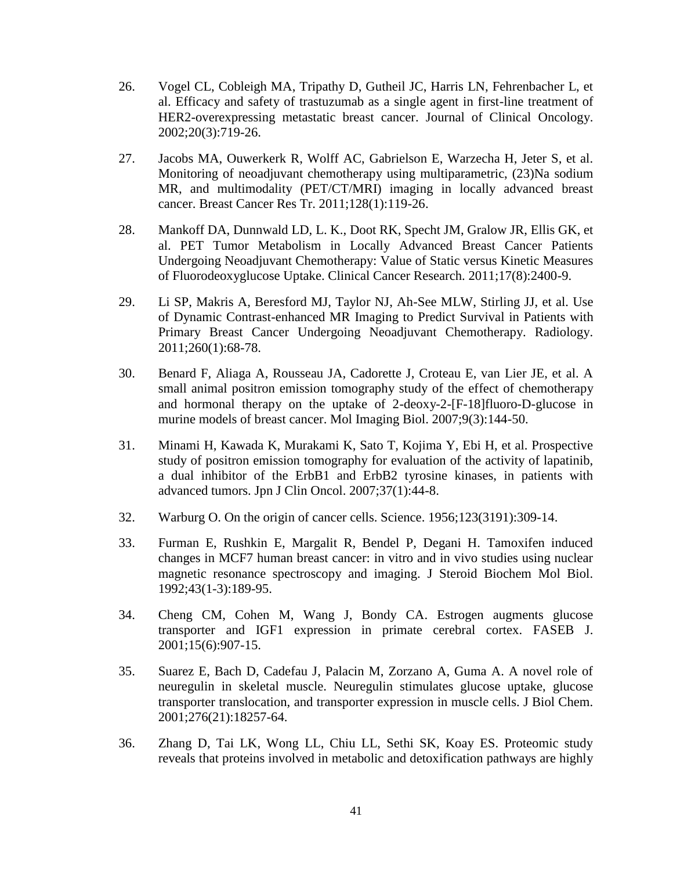- <span id="page-46-0"></span>26. Vogel CL, Cobleigh MA, Tripathy D, Gutheil JC, Harris LN, Fehrenbacher L, et al. Efficacy and safety of trastuzumab as a single agent in first-line treatment of HER2-overexpressing metastatic breast cancer. Journal of Clinical Oncology. 2002;20(3):719-26.
- <span id="page-46-1"></span>27. Jacobs MA, Ouwerkerk R, Wolff AC, Gabrielson E, Warzecha H, Jeter S, et al. Monitoring of neoadjuvant chemotherapy using multiparametric, (23)Na sodium MR, and multimodality (PET/CT/MRI) imaging in locally advanced breast cancer. Breast Cancer Res Tr. 2011;128(1):119-26.
- 28. Mankoff DA, Dunnwald LD, L. K., Doot RK, Specht JM, Gralow JR, Ellis GK, et al. PET Tumor Metabolism in Locally Advanced Breast Cancer Patients Undergoing Neoadjuvant Chemotherapy: Value of Static versus Kinetic Measures of Fluorodeoxyglucose Uptake. Clinical Cancer Research. 2011;17(8):2400-9.
- 29. Li SP, Makris A, Beresford MJ, Taylor NJ, Ah-See MLW, Stirling JJ, et al. Use of Dynamic Contrast-enhanced MR Imaging to Predict Survival in Patients with Primary Breast Cancer Undergoing Neoadjuvant Chemotherapy. Radiology. 2011;260(1):68-78.
- <span id="page-46-2"></span>30. Benard F, Aliaga A, Rousseau JA, Cadorette J, Croteau E, van Lier JE, et al. A small animal positron emission tomography study of the effect of chemotherapy and hormonal therapy on the uptake of 2-deoxy-2-[F-18]fluoro-D-glucose in murine models of breast cancer. Mol Imaging Biol. 2007;9(3):144-50.
- <span id="page-46-3"></span>31. Minami H, Kawada K, Murakami K, Sato T, Kojima Y, Ebi H, et al. Prospective study of positron emission tomography for evaluation of the activity of lapatinib, a dual inhibitor of the ErbB1 and ErbB2 tyrosine kinases, in patients with advanced tumors. Jpn J Clin Oncol. 2007;37(1):44-8.
- <span id="page-46-4"></span>32. Warburg O. On the origin of cancer cells. Science. 1956;123(3191):309-14.
- <span id="page-46-5"></span>33. Furman E, Rushkin E, Margalit R, Bendel P, Degani H. Tamoxifen induced changes in MCF7 human breast cancer: in vitro and in vivo studies using nuclear magnetic resonance spectroscopy and imaging. J Steroid Biochem Mol Biol. 1992;43(1-3):189-95.
- <span id="page-46-6"></span>34. Cheng CM, Cohen M, Wang J, Bondy CA. Estrogen augments glucose transporter and IGF1 expression in primate cerebral cortex. FASEB J. 2001;15(6):907-15.
- <span id="page-46-7"></span>35. Suarez E, Bach D, Cadefau J, Palacin M, Zorzano A, Guma A. A novel role of neuregulin in skeletal muscle. Neuregulin stimulates glucose uptake, glucose transporter translocation, and transporter expression in muscle cells. J Biol Chem. 2001;276(21):18257-64.
- <span id="page-46-8"></span>36. Zhang D, Tai LK, Wong LL, Chiu LL, Sethi SK, Koay ES. Proteomic study reveals that proteins involved in metabolic and detoxification pathways are highly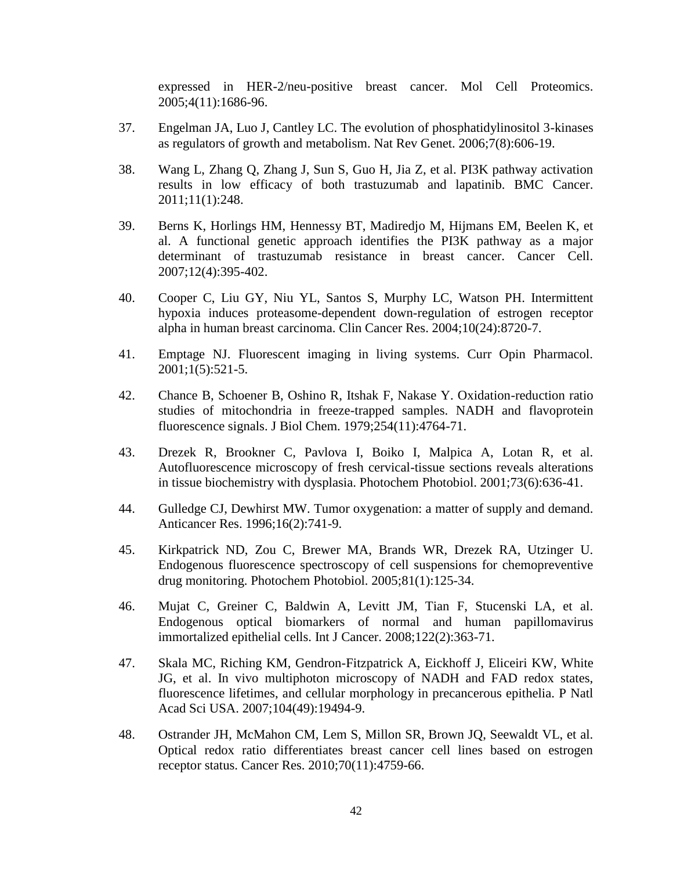expressed in HER-2/neu-positive breast cancer. Mol Cell Proteomics. 2005;4(11):1686-96.

- <span id="page-47-0"></span>37. Engelman JA, Luo J, Cantley LC. The evolution of phosphatidylinositol 3-kinases as regulators of growth and metabolism. Nat Rev Genet. 2006;7(8):606-19.
- 38. Wang L, Zhang Q, Zhang J, Sun S, Guo H, Jia Z, et al. PI3K pathway activation results in low efficacy of both trastuzumab and lapatinib. BMC Cancer. 2011;11(1):248.
- <span id="page-47-4"></span>39. Berns K, Horlings HM, Hennessy BT, Madiredjo M, Hijmans EM, Beelen K, et al. A functional genetic approach identifies the PI3K pathway as a major determinant of trastuzumab resistance in breast cancer. Cancer Cell. 2007;12(4):395-402.
- 40. Cooper C, Liu GY, Niu YL, Santos S, Murphy LC, Watson PH. Intermittent hypoxia induces proteasome-dependent down-regulation of estrogen receptor alpha in human breast carcinoma. Clin Cancer Res. 2004;10(24):8720-7.
- <span id="page-47-1"></span>41. Emptage NJ. Fluorescent imaging in living systems. Curr Opin Pharmacol. 2001;1(5):521-5.
- <span id="page-47-2"></span>42. Chance B, Schoener B, Oshino R, Itshak F, Nakase Y. Oxidation-reduction ratio studies of mitochondria in freeze-trapped samples. NADH and flavoprotein fluorescence signals. J Biol Chem. 1979;254(11):4764-71.
- 43. Drezek R, Brookner C, Pavlova I, Boiko I, Malpica A, Lotan R, et al. Autofluorescence microscopy of fresh cervical-tissue sections reveals alterations in tissue biochemistry with dysplasia. Photochem Photobiol. 2001;73(6):636-41.
- 44. Gulledge CJ, Dewhirst MW. Tumor oxygenation: a matter of supply and demand. Anticancer Res. 1996;16(2):741-9.
- 45. Kirkpatrick ND, Zou C, Brewer MA, Brands WR, Drezek RA, Utzinger U. Endogenous fluorescence spectroscopy of cell suspensions for chemopreventive drug monitoring. Photochem Photobiol. 2005;81(1):125-34.
- 46. Mujat C, Greiner C, Baldwin A, Levitt JM, Tian F, Stucenski LA, et al. Endogenous optical biomarkers of normal and human papillomavirus immortalized epithelial cells. Int J Cancer. 2008;122(2):363-71.
- 47. Skala MC, Riching KM, Gendron-Fitzpatrick A, Eickhoff J, Eliceiri KW, White JG, et al. In vivo multiphoton microscopy of NADH and FAD redox states, fluorescence lifetimes, and cellular morphology in precancerous epithelia. P Natl Acad Sci USA. 2007;104(49):19494-9.
- <span id="page-47-3"></span>48. Ostrander JH, McMahon CM, Lem S, Millon SR, Brown JQ, Seewaldt VL, et al. Optical redox ratio differentiates breast cancer cell lines based on estrogen receptor status. Cancer Res. 2010;70(11):4759-66.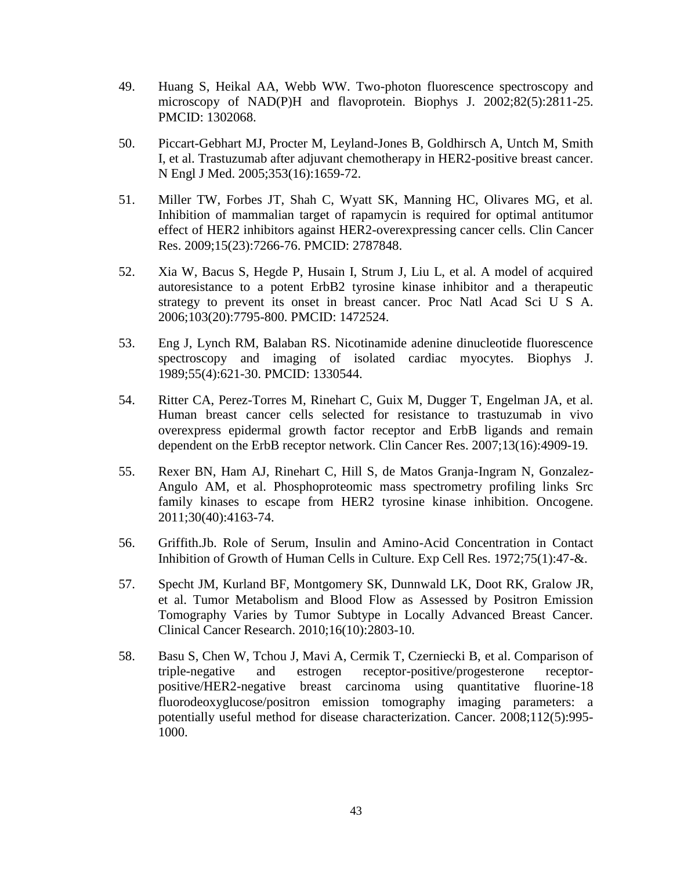- <span id="page-48-0"></span>49. Huang S, Heikal AA, Webb WW. Two-photon fluorescence spectroscopy and microscopy of NAD(P)H and flavoprotein. Biophys J. 2002;82(5):2811-25. PMCID: 1302068.
- <span id="page-48-1"></span>50. Piccart-Gebhart MJ, Procter M, Leyland-Jones B, Goldhirsch A, Untch M, Smith I, et al. Trastuzumab after adjuvant chemotherapy in HER2-positive breast cancer. N Engl J Med. 2005;353(16):1659-72.
- <span id="page-48-2"></span>51. Miller TW, Forbes JT, Shah C, Wyatt SK, Manning HC, Olivares MG, et al. Inhibition of mammalian target of rapamycin is required for optimal antitumor effect of HER2 inhibitors against HER2-overexpressing cancer cells. Clin Cancer Res. 2009;15(23):7266-76. PMCID: 2787848.
- <span id="page-48-3"></span>52. Xia W, Bacus S, Hegde P, Husain I, Strum J, Liu L, et al. A model of acquired autoresistance to a potent ErbB2 tyrosine kinase inhibitor and a therapeutic strategy to prevent its onset in breast cancer. Proc Natl Acad Sci U S A. 2006;103(20):7795-800. PMCID: 1472524.
- <span id="page-48-4"></span>53. Eng J, Lynch RM, Balaban RS. Nicotinamide adenine dinucleotide fluorescence spectroscopy and imaging of isolated cardiac myocytes. Biophys J. 1989;55(4):621-30. PMCID: 1330544.
- <span id="page-48-5"></span>54. Ritter CA, Perez-Torres M, Rinehart C, Guix M, Dugger T, Engelman JA, et al. Human breast cancer cells selected for resistance to trastuzumab in vivo overexpress epidermal growth factor receptor and ErbB ligands and remain dependent on the ErbB receptor network. Clin Cancer Res. 2007;13(16):4909-19.
- <span id="page-48-6"></span>55. Rexer BN, Ham AJ, Rinehart C, Hill S, de Matos Granja-Ingram N, Gonzalez-Angulo AM, et al. Phosphoproteomic mass spectrometry profiling links Src family kinases to escape from HER2 tyrosine kinase inhibition. Oncogene. 2011;30(40):4163-74.
- <span id="page-48-7"></span>56. Griffith.Jb. Role of Serum, Insulin and Amino-Acid Concentration in Contact Inhibition of Growth of Human Cells in Culture. Exp Cell Res. 1972;75(1):47-&.
- <span id="page-48-8"></span>57. Specht JM, Kurland BF, Montgomery SK, Dunnwald LK, Doot RK, Gralow JR, et al. Tumor Metabolism and Blood Flow as Assessed by Positron Emission Tomography Varies by Tumor Subtype in Locally Advanced Breast Cancer. Clinical Cancer Research. 2010;16(10):2803-10.
- <span id="page-48-9"></span>58. Basu S, Chen W, Tchou J, Mavi A, Cermik T, Czerniecki B, et al. Comparison of triple-negative and estrogen receptor-positive/progesterone receptorpositive/HER2-negative breast carcinoma using quantitative fluorine-18 fluorodeoxyglucose/positron emission tomography imaging parameters: a potentially useful method for disease characterization. Cancer. 2008;112(5):995- 1000.